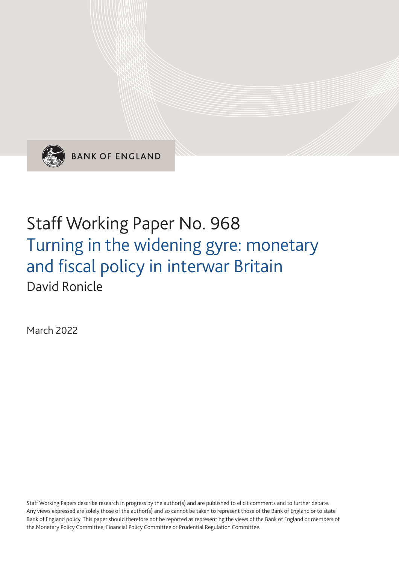

**BANK OF ENGLAND** 

# Staff Working Paper No. 968 Turning in the widening gyre: monetary and fiscal policy in interwar Britain David Ronicle

March 2022

Staff Working Papers describe research in progress by the author(s) and are published to elicit comments and to further debate. Any views expressed are solely those of the author(s) and so cannot be taken to represent those of the Bank of England or to state Bank of England policy. This paper should therefore not be reported as representing the views of the Bank of England or members of the Monetary Policy Committee, Financial Policy Committee or Prudential Regulation Committee.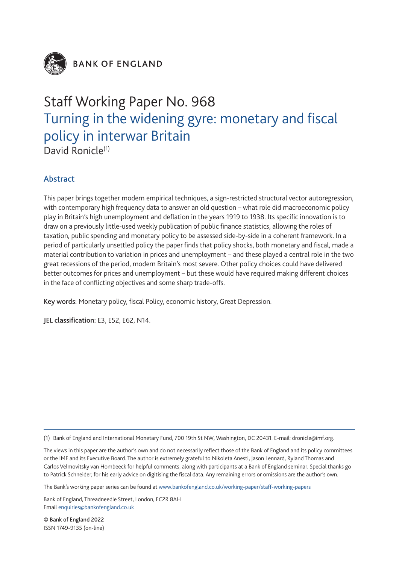

**BANK OF ENGLAND** 

# Staff Working Paper No. 968 Turning in the widening gyre: monetary and fiscal policy in interwar Britain David Ronicle<sup>(1)</sup>

Abstract

This paper brings together modern empirical techniques, a sign-restricted structural vector autoregression, with contemporary high frequency data to answer an old question – what role did macroeconomic policy play in Britain's high unemployment and deflation in the years 1919 to 1938. Its specific innovation is to draw on a previously little-used weekly publication of public finance statistics, allowing the roles of taxation, public spending and monetary policy to be assessed side-by-side in a coherent framework. In a period of particularly unsettled policy the paper finds that policy shocks, both monetary and fiscal, made a material contribution to variation in prices and unemployment – and these played a central role in the two great recessions of the period, modern Britain's most severe. Other policy choices could have delivered better outcomes for prices and unemployment – but these would have required making different choices in the face of conflicting objectives and some sharp trade-offs.

Key words: Monetary policy, fiscal Policy, economic history, Great Depression.

JEL classification: E3, E52, E62, N14.

(1) Bank of England and International Monetary Fund, 700 19th St NW, Washington, DC 20431. E-mail: [dronicle@imf.org.](mailto:dronicle%40imf.org?subject=)

The views in this paper are the author's own and do not necessarily reflect those of the Bank of England and its policy committees or the IMF and its Executive Board. The author is extremely grateful to Nikoleta Anesti, Jason Lennard, Ryland Thomas and Carlos Velmovitsky van Hombeeck for helpful comments, along with participants at a Bank of England seminar. Special thanks go to Patrick Schneider, for his early advice on digitising the fiscal data. Any remaining errors or omissions are the author's own.

The Bank's working paper series can be found at www.bankofengland.co.uk/working-paper/staff-working-papers

Bank of England, Threadneedle Street, London, EC2R 8AH Email enquiries@bankofengland.co.uk

© Bank of England 2022 ISSN 1749-9135 (on-line)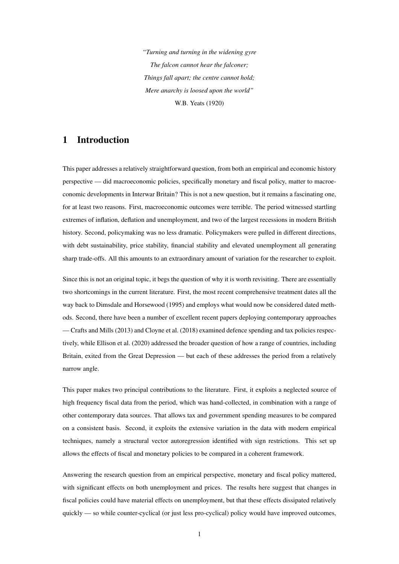*"Turning and turning in the widening gyre The falcon cannot hear the falconer; Things fall apart; the centre cannot hold; Mere anarchy is loosed upon the world"* W.B. Yeats (1920)

# 1 Introduction

This paper addresses a relatively straightforward question, from both an empirical and economic history perspective — did macroeconomic policies, specifically monetary and fiscal policy, matter to macroeconomic developments in Interwar Britain? This is not a new question, but it remains a fascinating one, for at least two reasons. First, macroeconomic outcomes were terrible. The period witnessed startling extremes of inflation, deflation and unemployment, and two of the largest recessions in modern British history. Second, policymaking was no less dramatic. Policymakers were pulled in different directions, with debt sustainability, price stability, financial stability and elevated unemployment all generating sharp trade-offs. All this amounts to an extraordinary amount of variation for the researcher to exploit.

Since this is not an original topic, it begs the question of why it is worth revisiting. There are essentially two shortcomings in the current literature. First, the most recent comprehensive treatment dates all the way back to [Dimsdale and Horsewood](#page-30-0) [\(1995\)](#page-30-0) and employs what would now be considered dated methods. Second, there have been a number of excellent recent papers deploying contemporary approaches — [Crafts and Mills](#page-30-1) [\(2013\)](#page-30-1) and [Cloyne et al.](#page-30-2) [\(2018\)](#page-30-2) examined defence spending and tax policies respectively, while [Ellison et al.](#page-30-3) [\(2020\)](#page-30-3) addressed the broader question of how a range of countries, including Britain, exited from the Great Depression — but each of these addresses the period from a relatively narrow angle.

This paper makes two principal contributions to the literature. First, it exploits a neglected source of high frequency fiscal data from the period, which was hand-collected, in combination with a range of other contemporary data sources. That allows tax and government spending measures to be compared on a consistent basis. Second, it exploits the extensive variation in the data with modern empirical techniques, namely a structural vector autoregression identified with sign restrictions. This set up allows the effects of fiscal and monetary policies to be compared in a coherent framework.

Answering the research question from an empirical perspective, monetary and fiscal policy mattered, with significant effects on both unemployment and prices. The results here suggest that changes in fiscal policies could have material effects on unemployment, but that these effects dissipated relatively quickly — so while counter-cyclical (or just less pro-cyclical) policy would have improved outcomes,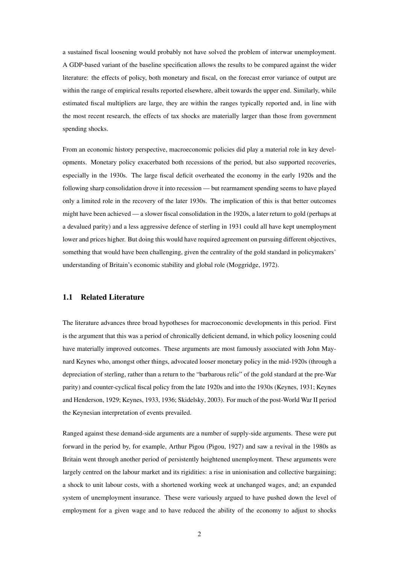a sustained fiscal loosening would probably not have solved the problem of interwar unemployment. A GDP-based variant of the baseline specification allows the results to be compared against the wider literature: the effects of policy, both monetary and fiscal, on the forecast error variance of output are within the range of empirical results reported elsewhere, albeit towards the upper end. Similarly, while estimated fiscal multipliers are large, they are within the ranges typically reported and, in line with the most recent research, the effects of tax shocks are materially larger than those from government spending shocks.

From an economic history perspective, macroeconomic policies did play a material role in key developments. Monetary policy exacerbated both recessions of the period, but also supported recoveries, especially in the 1930s. The large fiscal deficit overheated the economy in the early 1920s and the following sharp consolidation drove it into recession — but rearmament spending seems to have played only a limited role in the recovery of the later 1930s. The implication of this is that better outcomes might have been achieved — a slower fiscal consolidation in the 1920s, a later return to gold (perhaps at a devalued parity) and a less aggressive defence of sterling in 1931 could all have kept unemployment lower and prices higher. But doing this would have required agreement on pursuing different objectives, something that would have been challenging, given the centrality of the gold standard in policymakers' understanding of Britain's economic stability and global role [\(Moggridge, 1972\)](#page-31-0).

#### 1.1 Related Literature

The literature advances three broad hypotheses for macroeconomic developments in this period. First is the argument that this was a period of chronically deficient demand, in which policy loosening could have materially improved outcomes. These arguments are most famously associated with John Maynard Keynes who, amongst other things, advocated looser monetary policy in the mid-1920s (through a depreciation of sterling, rather than a return to the "barbarous relic" of the gold standard at the pre-War parity) and counter-cyclical fiscal policy from the late 1920s and into the 1930s [\(Keynes, 1931;](#page-31-1) [Keynes](#page-31-2) [and Henderson, 1929;](#page-31-2) [Keynes, 1933,](#page-31-3) [1936;](#page-31-4) [Skidelsky, 2003\)](#page-32-0). For much of the post-World War II period the Keynesian interpretation of events prevailed.

Ranged against these demand-side arguments are a number of supply-side arguments. These were put forward in the period by, for example, Arthur Pigou [\(Pigou, 1927\)](#page-32-1) and saw a revival in the 1980s as Britain went through another period of persistently heightened unemployment. These arguments were largely centred on the labour market and its rigidities: a rise in unionisation and collective bargaining; a shock to unit labour costs, with a shortened working week at unchanged wages, and; an expanded system of unemployment insurance. These were variously argued to have pushed down the level of employment for a given wage and to have reduced the ability of the economy to adjust to shocks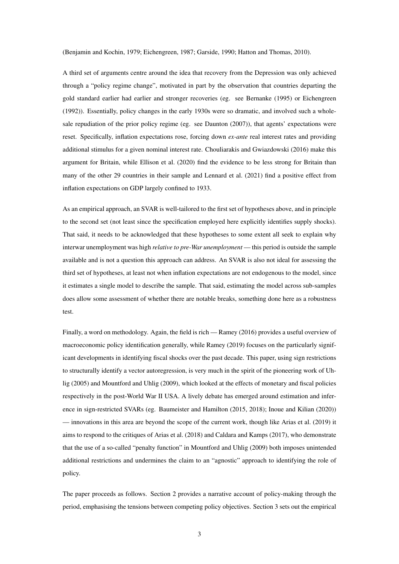[\(Benjamin and Kochin, 1979;](#page-29-0) [Eichengreen, 1987;](#page-30-4) [Garside, 1990;](#page-30-5) [Hatton and Thomas, 2010\)](#page-31-5).

A third set of arguments centre around the idea that recovery from the Depression was only achieved through a "policy regime change", motivated in part by the observation that countries departing the gold standard earlier had earlier and stronger recoveries (eg. see [Bernanke](#page-29-1) [\(1995\)](#page-29-1) or [Eichengreen](#page-30-6) [\(1992\)](#page-30-6)). Essentially, policy changes in the early 1930s were so dramatic, and involved such a wholesale repudiation of the prior policy regime (eg. see [Daunton](#page-30-7) [\(2007\)](#page-30-7)), that agents' expectations were reset. Specifically, inflation expectations rose, forcing down *ex-ante* real interest rates and providing additional stimulus for a given nominal interest rate. [Chouliarakis and Gwiazdowski](#page-30-8) [\(2016\)](#page-30-8) make this argument for Britain, while [Ellison et al.](#page-30-3) [\(2020\)](#page-30-3) find the evidence to be less strong for Britain than many of the other 29 countries in their sample and [Lennard et al.](#page-31-6) [\(2021\)](#page-31-6) find a positive effect from inflation expectations on GDP largely confined to 1933.

As an empirical approach, an SVAR is well-tailored to the first set of hypotheses above, and in principle to the second set (not least since the specification employed here explicitly identifies supply shocks). That said, it needs to be acknowledged that these hypotheses to some extent all seek to explain why interwar unemployment was high *relative to pre-War unemployment* — this period is outside the sample available and is not a question this approach can address. An SVAR is also not ideal for assessing the third set of hypotheses, at least not when inflation expectations are not endogenous to the model, since it estimates a single model to describe the sample. That said, estimating the model across sub-samples does allow some assessment of whether there are notable breaks, something done here as a robustness test.

Finally, a word on methodology. Again, the field is rich — [Ramey](#page-32-2) [\(2016\)](#page-32-2) provides a useful overview of macroeconomic policy identification generally, while [Ramey](#page-32-3) [\(2019\)](#page-32-3) focuses on the particularly significant developments in identifying fiscal shocks over the past decade. This paper, using sign restrictions to structurally identify a vector autoregression, is very much in the spirit of the pioneering work of [Uh](#page-32-4)[lig](#page-32-4) [\(2005\)](#page-32-4) and [Mountford and Uhlig](#page-32-5) [\(2009\)](#page-32-5), which looked at the effects of monetary and fiscal policies respectively in the post-World War II USA. A lively debate has emerged around estimation and inference in sign-restricted SVARs (eg. [Baumeister and Hamilton](#page-29-2) [\(2015,](#page-29-2) [2018\)](#page-29-3); [Inoue and Kilian](#page-31-7) [\(2020\)](#page-31-7)) — innovations in this area are beyond the scope of the current work, though like [Arias et al.](#page-29-4) [\(2019\)](#page-29-4) it aims to respond to the critiques of [Arias et al.](#page-29-5) [\(2018\)](#page-29-5) and [Caldara and Kamps](#page-29-6) [\(2017\)](#page-29-6), who demonstrate that the use of a so-called "penalty function" in [Mountford and Uhlig](#page-32-5) [\(2009\)](#page-32-5) both imposes unintended additional restrictions and undermines the claim to an "agnostic" approach to identifying the role of policy.

The paper proceeds as follows. Section [2](#page-5-0) provides a narrative account of policy-making through the period, emphasising the tensions between competing policy objectives. Section [3](#page-10-0) sets out the empirical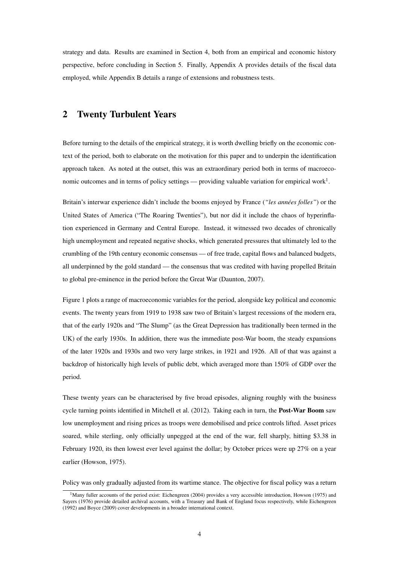strategy and data. Results are examined in Section [4,](#page-14-0) both from an empirical and economic history perspective, before concluding in Section [5.](#page-26-0) Finally, Appendix [A](#page-33-0) provides details of the fiscal data employed, while Appendix [B](#page-34-0) details a range of extensions and robustness tests.

# <span id="page-5-0"></span>2 Twenty Turbulent Years

Before turning to the details of the empirical strategy, it is worth dwelling briefly on the economic context of the period, both to elaborate on the motivation for this paper and to underpin the identification approach taken. As noted at the outset, this was an extraordinary period both in terms of macroeco-nomic outcomes and in terms of policy settings — providing valuable variation for empirical work<sup>[1](#page-5-1)</sup>.

Britain's interwar experience didn't include the booms enjoyed by France (*"les années folles"*) or the United States of America ("The Roaring Twenties"), but nor did it include the chaos of hyperinflation experienced in Germany and Central Europe. Instead, it witnessed two decades of chronically high unemployment and repeated negative shocks, which generated pressures that ultimately led to the crumbling of the 19th century economic consensus — of free trade, capital flows and balanced budgets, all underpinned by the gold standard — the consensus that was credited with having propelled Britain to global pre-eminence in the period before the Great War [\(Daunton, 2007\)](#page-30-7).

Figure [1](#page-6-0) plots a range of macroeconomic variables for the period, alongside key political and economic events. The twenty years from 1919 to 1938 saw two of Britain's largest recessions of the modern era, that of the early 1920s and "The Slump" (as the Great Depression has traditionally been termed in the UK) of the early 1930s. In addition, there was the immediate post-War boom, the steady expansions of the later 1920s and 1930s and two very large strikes, in 1921 and 1926. All of that was against a backdrop of historically high levels of public debt, which averaged more than 150% of GDP over the period.

These twenty years can be characterised by five broad episodes, aligning roughly with the business cycle turning points identified in [Mitchell et al.](#page-31-8) [\(2012\)](#page-31-8). Taking each in turn, the **Post-War Boom** saw low unemployment and rising prices as troops were demobilised and price controls lifted. Asset prices soared, while sterling, only officially unpegged at the end of the war, fell sharply, hitting \$3.38 in February 1920, its then lowest ever level against the dollar; by October prices were up 27% on a year earlier [\(Howson, 1975\)](#page-31-9).

Policy was only gradually adjusted from its wartime stance. The objective for fiscal policy was a return

<span id="page-5-1"></span> $1$ Many fuller accounts of the period exist: [Eichengreen](#page-30-9) [\(2004\)](#page-30-9) provides a very accessible introduction, [Howson](#page-31-9) [\(1975\)](#page-31-9) and [Sayers](#page-32-6) [\(1976\)](#page-32-6) provide detailed archival accounts, with a Treasury and Bank of England focus respectively, while [Eichengreen](#page-30-6) [\(1992\)](#page-30-6) and [Boyce](#page-29-7) [\(2009\)](#page-29-7) cover developments in a broader international context.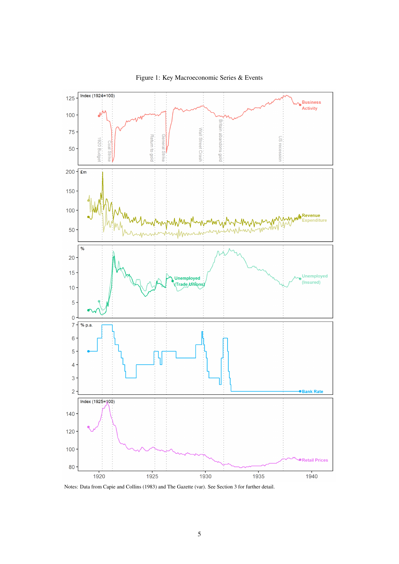<span id="page-6-0"></span>

Figure 1: Key Macroeconomic Series & Events

Notes: Data from [Capie and Collins](#page-29-8) [\(1983\)](#page-29-8) and [The Gazette](#page-32-7) [\(var\)](#page-32-7). See Section [3](#page-10-0) for further detail.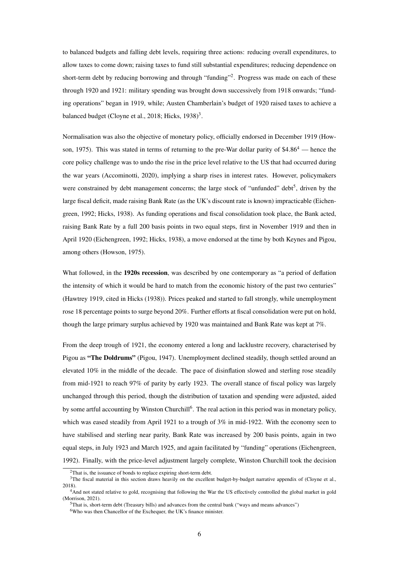to balanced budgets and falling debt levels, requiring three actions: reducing overall expenditures, to allow taxes to come down; raising taxes to fund still substantial expenditures; reducing dependence on short-term debt by reducing borrowing and through "funding"<sup>[2](#page-7-0)</sup>. Progress was made on each of these through 1920 and 1921: military spending was brought down successively from 1918 onwards; "funding operations" began in 1919, while; Austen Chamberlain's budget of 1920 raised taxes to achieve a balanced budget [\(Cloyne et al., 2018;](#page-30-2) [Hicks, 1938\)](#page-31-10)<sup>[3](#page-7-1)</sup>.

Normalisation was also the objective of monetary policy, officially endorsed in December 1919 [\(How](#page-31-9)[son, 1975\)](#page-31-9). This was stated in terms of returning to the pre-War dollar parity of  $$4.86<sup>4</sup>$  $$4.86<sup>4</sup>$  $$4.86<sup>4</sup>$ — hence the core policy challenge was to undo the rise in the price level relative to the US that had occurred during the war years [\(Accominotti, 2020\)](#page-29-9), implying a sharp rises in interest rates. However, policymakers were constrained by debt management concerns; the large stock of "unfunded" debt<sup>[5](#page-7-3)</sup>, driven by the large fiscal deficit, made raising Bank Rate (as the UK's discount rate is known) impracticable [\(Eichen](#page-30-6)[green, 1992;](#page-30-6) [Hicks, 1938\)](#page-31-10). As funding operations and fiscal consolidation took place, the Bank acted, raising Bank Rate by a full 200 basis points in two equal steps, first in November 1919 and then in April 1920 [\(Eichengreen, 1992;](#page-30-6) [Hicks, 1938\)](#page-31-10), a move endorsed at the time by both Keynes and Pigou, among others [\(Howson, 1975\)](#page-31-9).

What followed, in the 1920s recession, was described by one contemporary as "a period of deflation the intensity of which it would be hard to match from the economic history of the past two centuries" (Hawtrey 1919, cited in [Hicks](#page-31-10) [\(1938\)](#page-31-10)). Prices peaked and started to fall strongly, while unemployment rose 18 percentage points to surge beyond 20%. Further efforts at fiscal consolidation were put on hold, though the large primary surplus achieved by 1920 was maintained and Bank Rate was kept at 7%.

From the deep trough of 1921, the economy entered a long and lacklustre recovery, characterised by Pigou as "The Doldrums" [\(Pigou, 1947\)](#page-32-8). Unemployment declined steadily, though settled around an elevated 10% in the middle of the decade. The pace of disinflation slowed and sterling rose steadily from mid-1921 to reach 97% of parity by early 1923. The overall stance of fiscal policy was largely unchanged through this period, though the distribution of taxation and spending were adjusted, aided by some artful accounting by Winston Churchill<sup>[6](#page-7-4)</sup>. The real action in this period was in monetary policy, which was eased steadily from April 1921 to a trough of 3% in mid-1922. With the economy seen to have stabilised and sterling near parity, Bank Rate was increased by 200 basis points, again in two equal steps, in July 1923 and March 1925, and again facilitated by "funding" operations [\(Eichengreen,](#page-30-6) [1992\)](#page-30-6). Finally, with the price-level adjustment largely complete, Winston Churchill took the decision

<span id="page-7-1"></span><span id="page-7-0"></span><sup>2</sup>That is, the issuance of bonds to replace expiring short-term debt.

<sup>&</sup>lt;sup>3</sup>The fiscal material in this section draws heavily on the excellent budget-by-budget narrative appendix of [\(Cloyne et al.,](#page-30-2) [2018\)](#page-30-2).

<span id="page-7-2"></span><sup>4</sup>And not stated relative to gold, recognising that following the War the US effectively controlled the global market in gold [\(Morrison, 2021\)](#page-31-11).

<span id="page-7-3"></span><sup>5</sup>That is, short-term debt (Treasury bills) and advances from the central bank ("ways and means advances")

<span id="page-7-4"></span><sup>6</sup>Who was then Chancellor of the Exchequer, the UK's finance minister.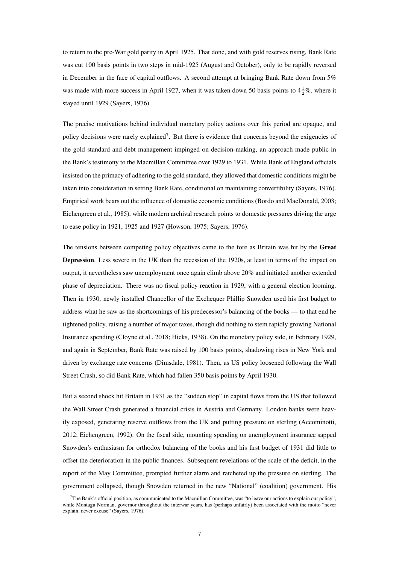to return to the pre-War gold parity in April 1925. That done, and with gold reserves rising, Bank Rate was cut 100 basis points in two steps in mid-1925 (August and October), only to be rapidly reversed in December in the face of capital outflows. A second attempt at bringing Bank Rate down from 5% was made with more success in April 1927, when it was taken down 50 basis points to  $4\frac{1}{2}\%$ , where it stayed until 1929 [\(Sayers, 1976\)](#page-32-6).

The precise motivations behind individual monetary policy actions over this period are opaque, and policy decisions were rarely explained<sup>[7](#page-8-0)</sup>. But there is evidence that concerns beyond the exigencies of the gold standard and debt management impinged on decision-making, an approach made public in the Bank's testimony to the Macmillan Committee over 1929 to 1931. While Bank of England officials insisted on the primacy of adhering to the gold standard, they allowed that domestic conditions might be taken into consideration in setting Bank Rate, conditional on maintaining convertibility [\(Sayers, 1976\)](#page-32-6). Empirical work bears out the influence of domestic economic conditions [\(Bordo and MacDonald, 2003;](#page-29-10) [Eichengreen et al., 1985\)](#page-30-10), while modern archival research points to domestic pressures driving the urge to ease policy in 1921, 1925 and 1927 [\(Howson, 1975;](#page-31-9) [Sayers, 1976\)](#page-32-6).

The tensions between competing policy objectives came to the fore as Britain was hit by the Great Depression. Less severe in the UK than the recession of the 1920s, at least in terms of the impact on output, it nevertheless saw unemployment once again climb above 20% and initiated another extended phase of depreciation. There was no fiscal policy reaction in 1929, with a general election looming. Then in 1930, newly installed Chancellor of the Exchequer Phillip Snowden used his first budget to address what he saw as the shortcomings of his predecessor's balancing of the books — to that end he tightened policy, raising a number of major taxes, though did nothing to stem rapidly growing National Insurance spending [\(Cloyne et al., 2018;](#page-30-2) [Hicks, 1938\)](#page-31-10). On the monetary policy side, in February 1929, and again in September, Bank Rate was raised by 100 basis points, shadowing rises in New York and driven by exchange rate concerns [\(Dimsdale, 1981\)](#page-30-11). Then, as US policy loosened following the Wall Street Crash, so did Bank Rate, which had fallen 350 basis points by April 1930.

But a second shock hit Britain in 1931 as the "sudden stop" in capital flows from the US that followed the Wall Street Crash generated a financial crisis in Austria and Germany. London banks were heavily exposed, generating reserve outflows from the UK and putting pressure on sterling [\(Accominotti,](#page-29-11) [2012;](#page-29-11) [Eichengreen, 1992\)](#page-30-6). On the fiscal side, mounting spending on unemployment insurance sapped Snowden's enthusiasm for orthodox balancing of the books and his first budget of 1931 did little to offset the deterioration in the public finances. Subsequent revelations of the scale of the deficit, in the report of the May Committee, prompted further alarm and ratcheted up the pressure on sterling. The government collapsed, though Snowden returned in the new "National" (coalition) government. His

<span id="page-8-0"></span> $7$ The Bank's official position, as communicated to the Macmillan Committee, was "to leave our actions to explain our policy", while Montagu Norman, governor throughout the interwar years, has (perhaps unfairly) been associated with the motto "never explain, never excuse" [\(Sayers, 1976\)](#page-32-6).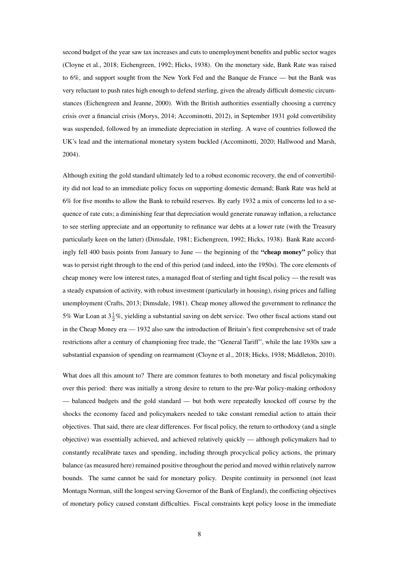second budget of the year saw tax increases and cuts to unemployment benefits and public sector wages [\(Cloyne et al., 2018;](#page-30-2) [Eichengreen, 1992;](#page-30-6) [Hicks, 1938\)](#page-31-10). On the monetary side, Bank Rate was raised to 6%, and support sought from the New York Fed and the Banque de France — but the Bank was very reluctant to push rates high enough to defend sterling, given the already difficult domestic circumstances [\(Eichengreen and Jeanne, 2000\)](#page-30-12). With the British authorities essentially choosing a currency crisis over a financial crisis [\(Morys, 2014;](#page-32-9) [Accominotti, 2012\)](#page-29-11), in September 1931 gold convertibility was suspended, followed by an immediate depreciation in sterling. A wave of countries followed the UK's lead and the international monetary system buckled [\(Accominotti, 2020;](#page-29-9) [Hallwood and Marsh,](#page-30-13) [2004\)](#page-30-13).

Although exiting the gold standard ultimately led to a robust economic recovery, the end of convertibility did not lead to an immediate policy focus on supporting domestic demand; Bank Rate was held at 6% for five months to allow the Bank to rebuild reserves. By early 1932 a mix of concerns led to a sequence of rate cuts; a diminishing fear that depreciation would generate runaway inflation, a reluctance to see sterling appreciate and an opportunity to refinance war debts at a lower rate (with the Treasury particularly keen on the latter) [\(Dimsdale, 1981;](#page-30-11) [Eichengreen, 1992;](#page-30-6) [Hicks, 1938\)](#page-31-10). Bank Rate accordingly fell 400 basis points from January to June — the beginning of the "cheap money" policy that was to persist right through to the end of this period (and indeed, into the 1950s). The core elements of cheap money were low interest rates, a managed float of sterling and tight fiscal policy — the result was a steady expansion of activity, with robust investment (particularly in housing), rising prices and falling unemployment [\(Crafts, 2013;](#page-30-14) [Dimsdale, 1981\)](#page-30-11). Cheap money allowed the government to refinance the 5% War Loan at  $3\frac{1}{2}\%$ , yielding a substantial saving on debt service. Two other fiscal actions stand out in the Cheap Money era — 1932 also saw the introduction of Britain's first comprehensive set of trade restrictions after a century of championing free trade, the "General Tariff", while the late 1930s saw a substantial expansion of spending on rearmament [\(Cloyne et al., 2018;](#page-30-2) [Hicks, 1938;](#page-31-10) [Middleton, 2010\)](#page-31-12).

What does all this amount to? There are common features to both monetary and fiscal policymaking over this period: there was initially a strong desire to return to the pre-War policy-making orthodoxy — balanced budgets and the gold standard — but both were repeatedly knocked off course by the shocks the economy faced and policymakers needed to take constant remedial action to attain their objectives. That said, there are clear differences. For fiscal policy, the return to orthodoxy (and a single objective) was essentially achieved, and achieved relatively quickly — although policymakers had to constantly recalibrate taxes and spending, including through procyclical policy actions, the primary balance (as measured here) remained positive throughout the period and moved within relatively narrow bounds. The same cannot be said for monetary policy. Despite continuity in personnel (not least Montagu Norman, still the longest serving Governor of the Bank of England), the conflicting objectives of monetary policy caused constant difficulties. Fiscal constraints kept policy loose in the immediate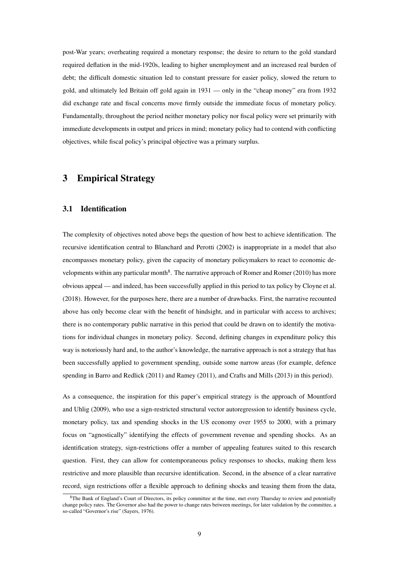post-War years; overheating required a monetary response; the desire to return to the gold standard required deflation in the mid-1920s, leading to higher unemployment and an increased real burden of debt; the difficult domestic situation led to constant pressure for easier policy, slowed the return to gold, and ultimately led Britain off gold again in 1931 — only in the "cheap money" era from 1932 did exchange rate and fiscal concerns move firmly outside the immediate focus of monetary policy. Fundamentally, throughout the period neither monetary policy nor fiscal policy were set primarily with immediate developments in output and prices in mind; monetary policy had to contend with conflicting objectives, while fiscal policy's principal objective was a primary surplus.

## <span id="page-10-0"></span>3 Empirical Strategy

#### 3.1 Identification

The complexity of objectives noted above begs the question of how best to achieve identification. The recursive identification central to [Blanchard and Perotti](#page-29-12) [\(2002\)](#page-29-12) is inappropriate in a model that also encompasses monetary policy, given the capacity of monetary policymakers to react to economic de-velopments within any particular month<sup>[8](#page-10-1)</sup>. The narrative approach of [Romer and Romer](#page-32-10) [\(2010\)](#page-32-10) has more obvious appeal — and indeed, has been successfully applied in this period to tax policy by [Cloyne et al.](#page-30-2) [\(2018\)](#page-30-2). However, for the purposes here, there are a number of drawbacks. First, the narrative recounted above has only become clear with the benefit of hindsight, and in particular with access to archives; there is no contemporary public narrative in this period that could be drawn on to identify the motivations for individual changes in monetary policy. Second, defining changes in expenditure policy this way is notoriously hard and, to the author's knowledge, the narrative approach is not a strategy that has been successfully applied to government spending, outside some narrow areas (for example, defence spending in [Barro and Redlick](#page-29-13) [\(2011\)](#page-29-13) and [Ramey](#page-32-11) [\(2011\)](#page-32-11), and [Crafts and Mills](#page-30-1) [\(2013\)](#page-30-1) in this period).

As a consequence, the inspiration for this paper's empirical strategy is the approach of [Mountford](#page-32-5) [and Uhlig](#page-32-5) [\(2009\)](#page-32-5), who use a sign-restricted structural vector autoregression to identify business cycle, monetary policy, tax and spending shocks in the US economy over 1955 to 2000, with a primary focus on "agnostically" identifying the effects of government revenue and spending shocks. As an identification strategy, sign-restrictions offer a number of appealing features suited to this research question. First, they can allow for contemporaneous policy responses to shocks, making them less restrictive and more plausible than recursive identification. Second, in the absence of a clear narrative record, sign restrictions offer a flexible approach to defining shocks and teasing them from the data,

<span id="page-10-1"></span><sup>8</sup>The Bank of England's Court of Directors, its policy committee at the time, met every Thursday to review and potentially change policy rates. The Governor also had the power to change rates between meetings, for later validation by the committee, a so-called "Governor's rise" [\(Sayers, 1976\)](#page-32-6).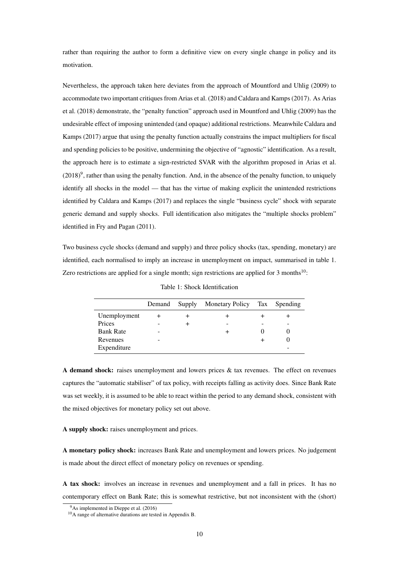rather than requiring the author to form a definitive view on every single change in policy and its motivation.

Nevertheless, the approach taken here deviates from the approach of [Mountford and Uhlig](#page-32-5) [\(2009\)](#page-32-5) to accommodate two important critiques from [Arias et al.](#page-29-5) [\(2018\)](#page-29-5) and [Caldara and Kamps](#page-29-6) [\(2017\)](#page-29-6). As [Arias](#page-29-5) [et al.](#page-29-5) [\(2018\)](#page-29-5) demonstrate, the "penalty function" approach used in [Mountford and Uhlig](#page-32-5) [\(2009\)](#page-32-5) has the undesirable effect of imposing unintended (and opaque) additional restrictions. Meanwhile [Caldara and](#page-29-6) [Kamps](#page-29-6) [\(2017\)](#page-29-6) argue that using the penalty function actually constrains the impact multipliers for fiscal and spending policies to be positive, undermining the objective of "agnostic" identification. As a result, the approach here is to estimate a sign-restricted SVAR with the algorithm proposed in [Arias et al.](#page-29-5)  $(2018)^9$  $(2018)^9$  $(2018)^9$ , rather than using the penalty function. And, in the absence of the penalty function, to uniquely identify all shocks in the model — that has the virtue of making explicit the unintended restrictions identified by [Caldara and Kamps](#page-29-6) [\(2017\)](#page-29-6) and replaces the single "business cycle" shock with separate generic demand and supply shocks. Full identification also mitigates the "multiple shocks problem" identified in [Fry and Pagan](#page-30-15) [\(2011\)](#page-30-15).

<span id="page-11-1"></span>Two business cycle shocks (demand and supply) and three policy shocks (tax, spending, monetary) are identified, each normalised to imply an increase in unemployment on impact, summarised in table [1.](#page-11-1) Zero restrictions are applied for a single month; sign restrictions are applied for 3 months<sup>[10](#page-11-2)</sup>:

|                  | Demand | Supply | Monetary Policy Tax Spending |   |
|------------------|--------|--------|------------------------------|---|
| Unemployment     |        |        |                              |   |
| Prices           |        |        |                              | - |
| <b>Bank Rate</b> |        |        |                              |   |
| Revenues         |        |        |                              |   |
| Expenditure      |        |        |                              | - |

Table 1: Shock Identification

A demand shock: raises unemployment and lowers prices & tax revenues. The effect on revenues captures the "automatic stabiliser" of tax policy, with receipts falling as activity does. Since Bank Rate was set weekly, it is assumed to be able to react within the period to any demand shock, consistent with the mixed objectives for monetary policy set out above.

#### A supply shock: raises unemployment and prices.

A monetary policy shock: increases Bank Rate and unemployment and lowers prices. No judgement is made about the direct effect of monetary policy on revenues or spending.

A tax shock: involves an increase in revenues and unemployment and a fall in prices. It has no contemporary effect on Bank Rate; this is somewhat restrictive, but not inconsistent with the (short)

<span id="page-11-0"></span><sup>9</sup>As implemented in [Dieppe et al.](#page-30-16) [\(2016\)](#page-30-16)

<span id="page-11-2"></span><sup>10</sup>A range of alternative durations are tested in Appendix [B.](#page-34-0)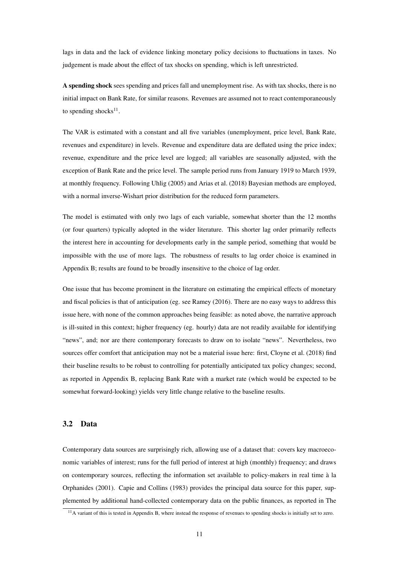lags in data and the lack of evidence linking monetary policy decisions to fluctuations in taxes. No judgement is made about the effect of tax shocks on spending, which is left unrestricted.

A spending shock sees spending and prices fall and unemployment rise. As with tax shocks, there is no initial impact on Bank Rate, for similar reasons. Revenues are assumed not to react contemporaneously to spending shocks $^{11}$  $^{11}$  $^{11}$ .

The VAR is estimated with a constant and all five variables (unemployment, price level, Bank Rate, revenues and expenditure) in levels. Revenue and expenditure data are deflated using the price index; revenue, expenditure and the price level are logged; all variables are seasonally adjusted, with the exception of Bank Rate and the price level. The sample period runs from January 1919 to March 1939, at monthly frequency. Following [Uhlig](#page-32-4) [\(2005\)](#page-32-4) and [Arias et al.](#page-29-5) [\(2018\)](#page-29-5) Bayesian methods are employed, with a normal inverse-Wishart prior distribution for the reduced form parameters.

The model is estimated with only two lags of each variable, somewhat shorter than the 12 months (or four quarters) typically adopted in the wider literature. This shorter lag order primarily reflects the interest here in accounting for developments early in the sample period, something that would be impossible with the use of more lags. The robustness of results to lag order choice is examined in Appendix [B;](#page-34-0) results are found to be broadly insensitive to the choice of lag order.

One issue that has become prominent in the literature on estimating the empirical effects of monetary and fiscal policies is that of anticipation (eg. see [Ramey](#page-32-2) [\(2016\)](#page-32-2). There are no easy ways to address this issue here, with none of the common approaches being feasible: as noted above, the narrative approach is ill-suited in this context; higher frequency (eg. hourly) data are not readily available for identifying "news", and; nor are there contemporary forecasts to draw on to isolate "news". Nevertheless, two sources offer comfort that anticipation may not be a material issue here: first, [Cloyne et al.](#page-30-2) [\(2018\)](#page-30-2) find their baseline results to be robust to controlling for potentially anticipated tax policy changes; second, as reported in Appendix [B,](#page-34-0) replacing Bank Rate with a market rate (which would be expected to be somewhat forward-looking) yields very little change relative to the baseline results.

#### 3.2 Data

Contemporary data sources are surprisingly rich, allowing use of a dataset that: covers key macroeconomic variables of interest; runs for the full period of interest at high (monthly) frequency; and draws on contemporary sources, reflecting the information set available to policy-makers in real time à la [Orphanides](#page-32-12) [\(2001\)](#page-32-12). [Capie and Collins](#page-29-8) [\(1983\)](#page-29-8) provides the principal data source for this paper, supplemented by additional hand-collected contemporary data on the public finances, as reported in [The](#page-32-7)

<span id="page-12-0"></span><sup>&</sup>lt;sup>11</sup>[A variant of this is tested in Appendix B, where instead the response of revenues to spending shocks is initially set to zero.](#page-32-7)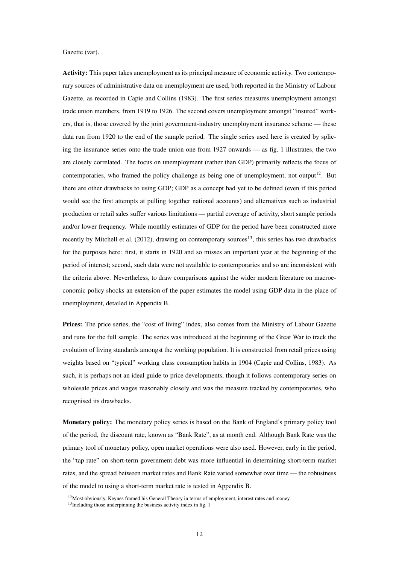[Gazette](#page-32-7) [\(var\)](#page-32-7).

Activity: This paper takes unemployment as its principal measure of economic activity. Two contemporary sources of administrative data on unemployment are used, both reported in the Ministry of Labour Gazette, as recorded in [Capie and Collins](#page-29-8) [\(1983\)](#page-29-8). The first series measures unemployment amongst trade union members, from 1919 to 1926. The second covers unemployment amongst "insured" workers, that is, those covered by the joint government-industry unemployment insurance scheme — these data run from 1920 to the end of the sample period. The single series used here is created by splicing the insurance series onto the trade union one from 1927 onwards — as fig. [1](#page-6-0) illustrates, the two are closely correlated. The focus on unemployment (rather than GDP) primarily reflects the focus of contemporaries, who framed the policy challenge as being one of unemployment, not output<sup>[12](#page-13-0)</sup>. But there are other drawbacks to using GDP; GDP as a concept had yet to be defined (even if this period would see the first attempts at pulling together national accounts) and alternatives such as industrial production or retail sales suffer various limitations — partial coverage of activity, short sample periods and/or lower frequency. While monthly estimates of GDP for the period have been constructed more recently by [Mitchell et al.](#page-31-8) [\(2012\)](#page-31-8), drawing on contemporary sources<sup>[13](#page-13-1)</sup>, this series has two drawbacks for the purposes here: first, it starts in 1920 and so misses an important year at the beginning of the period of interest; second, such data were not available to contemporaries and so are inconsistent with the criteria above. Nevertheless, to draw comparisons against the wider modern literature on macroeconomic policy shocks an extension of the paper estimates the model using GDP data in the place of unemployment, detailed in Appendix [B.](#page-34-0)

Prices: The price series, the "cost of living" index, also comes from the Ministry of Labour Gazette and runs for the full sample. The series was introduced at the beginning of the Great War to track the evolution of living standards amongst the working population. It is constructed from retail prices using weights based on "typical" working class consumption habits in 1904 [\(Capie and Collins, 1983\)](#page-29-8). As such, it is perhaps not an ideal guide to price developments, though it follows contemporary series on wholesale prices and wages reasonably closely and was the measure tracked by contemporaries, who recognised its drawbacks.

Monetary policy: The monetary policy series is based on the Bank of England's primary policy tool of the period, the discount rate, known as "Bank Rate", as at month end. Although Bank Rate was the primary tool of monetary policy, open market operations were also used. However, early in the period, the "tap rate" on short-term government debt was more influential in determining short-term market rates, and the spread between market rates and Bank Rate varied somewhat over time — the robustness of the model to using a short-term market rate is tested in Appendix [B.](#page-34-0)

<span id="page-13-0"></span><sup>&</sup>lt;sup>12</sup>Most obviously, Keynes framed his General Theory in terms of employment, interest rates and money.

<span id="page-13-1"></span><sup>&</sup>lt;sup>13</sup>Including those underpinning the business activity index in fig. [1](#page-6-0)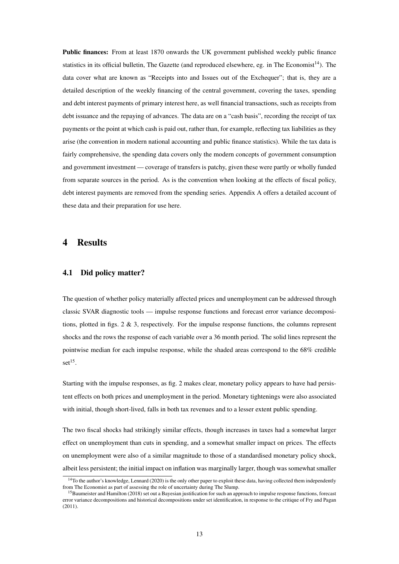Public finances: From at least 1870 onwards the UK government published weekly public finance statistics in its official bulletin, The Gazette (and reproduced elsewhere, eg. in The Economist<sup>[14](#page-14-1)</sup>). The data cover what are known as "Receipts into and Issues out of the Exchequer"; that is, they are a detailed description of the weekly financing of the central government, covering the taxes, spending and debt interest payments of primary interest here, as well financial transactions, such as receipts from debt issuance and the repaying of advances. The data are on a "cash basis", recording the receipt of tax payments or the point at which cash is paid out, rather than, for example, reflecting tax liabilities as they arise (the convention in modern national accounting and public finance statistics). While the tax data is fairly comprehensive, the spending data covers only the modern concepts of government consumption and government investment — coverage of transfers is patchy, given these were partly or wholly funded from separate sources in the period. As is the convention when looking at the effects of fiscal policy, debt interest payments are removed from the spending series. Appendix [A](#page-33-0) offers a detailed account of these data and their preparation for use here.

#### <span id="page-14-0"></span>4 Results

#### 4.1 Did policy matter?

The question of whether policy materially affected prices and unemployment can be addressed through classic SVAR diagnostic tools — impulse response functions and forecast error variance decompositions, plotted in figs.  $2 \& 3$ , respectively. For the impulse response functions, the columns represent shocks and the rows the response of each variable over a 36 month period. The solid lines represent the pointwise median for each impulse response, while the shaded areas correspond to the 68% credible  $set^{15}$  $set^{15}$  $set^{15}$ .

Starting with the impulse responses, as fig. [2](#page-15-0) makes clear, monetary policy appears to have had persistent effects on both prices and unemployment in the period. Monetary tightenings were also associated with initial, though short-lived, falls in both tax revenues and to a lesser extent public spending.

The two fiscal shocks had strikingly similar effects, though increases in taxes had a somewhat larger effect on unemployment than cuts in spending, and a somewhat smaller impact on prices. The effects on unemployment were also of a similar magnitude to those of a standardised monetary policy shock, albeit less persistent; the initial impact on inflation was marginally larger, though was somewhat smaller

<span id="page-14-1"></span><sup>&</sup>lt;sup>14</sup>To the author's knowledge, [Lennard](#page-31-13) [\(2020\)](#page-31-13) is the only other paper to exploit these data, having collected them independently from The Economist as part of assessing the role of uncertainty during The Slump.

<span id="page-14-2"></span><sup>&</sup>lt;sup>15</sup>[Baumeister and Hamilton](#page-29-3) [\(2018\)](#page-29-3) set out a Bayesian justification for such an approach to impulse response functions, forecast error variance decompositions and historical decompositions under set identification, in response to the critique of [Fry and Pagan](#page-30-15) [\(2011\)](#page-30-15).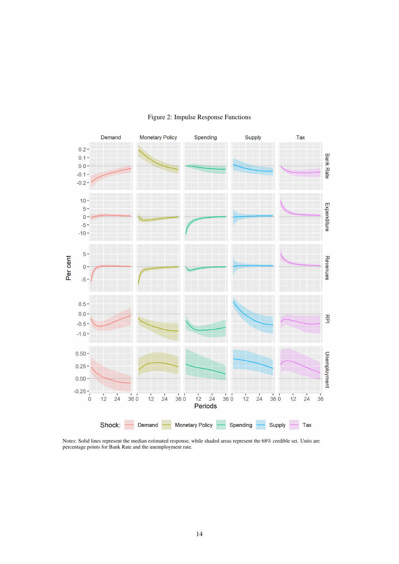<span id="page-15-0"></span>

#### Figure 2: Impulse Response Functions

Notes: Solid lines represent the median estimated response, while shaded areas represent the 68% credible set. Units are percentage points for Bank Rate and the unemployment rate.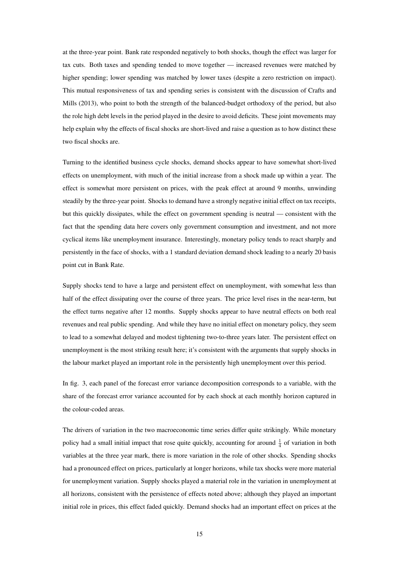at the three-year point. Bank rate responded negatively to both shocks, though the effect was larger for tax cuts. Both taxes and spending tended to move together — increased revenues were matched by higher spending; lower spending was matched by lower taxes (despite a zero restriction on impact). This mutual responsiveness of tax and spending series is consistent with the discussion of [Crafts and](#page-30-1) [Mills](#page-30-1) [\(2013\)](#page-30-1), who point to both the strength of the balanced-budget orthodoxy of the period, but also the role high debt levels in the period played in the desire to avoid deficits. These joint movements may help explain why the effects of fiscal shocks are short-lived and raise a question as to how distinct these two fiscal shocks are.

Turning to the identified business cycle shocks, demand shocks appear to have somewhat short-lived effects on unemployment, with much of the initial increase from a shock made up within a year. The effect is somewhat more persistent on prices, with the peak effect at around 9 months, unwinding steadily by the three-year point. Shocks to demand have a strongly negative initial effect on tax receipts, but this quickly dissipates, while the effect on government spending is neutral — consistent with the fact that the spending data here covers only government consumption and investment, and not more cyclical items like unemployment insurance. Interestingly, monetary policy tends to react sharply and persistently in the face of shocks, with a 1 standard deviation demand shock leading to a nearly 20 basis point cut in Bank Rate.

Supply shocks tend to have a large and persistent effect on unemployment, with somewhat less than half of the effect dissipating over the course of three years. The price level rises in the near-term, but the effect turns negative after 12 months. Supply shocks appear to have neutral effects on both real revenues and real public spending. And while they have no initial effect on monetary policy, they seem to lead to a somewhat delayed and modest tightening two-to-three years later. The persistent effect on unemployment is the most striking result here; it's consistent with the arguments that supply shocks in the labour market played an important role in the persistently high unemployment over this period.

In fig. [3,](#page-17-0) each panel of the forecast error variance decomposition corresponds to a variable, with the share of the forecast error variance accounted for by each shock at each monthly horizon captured in the colour-coded areas.

The drivers of variation in the two macroeconomic time series differ quite strikingly. While monetary policy had a small initial impact that rose quite quickly, accounting for around  $\frac{1}{4}$  of variation in both variables at the three year mark, there is more variation in the role of other shocks. Spending shocks had a pronounced effect on prices, particularly at longer horizons, while tax shocks were more material for unemployment variation. Supply shocks played a material role in the variation in unemployment at all horizons, consistent with the persistence of effects noted above; although they played an important initial role in prices, this effect faded quickly. Demand shocks had an important effect on prices at the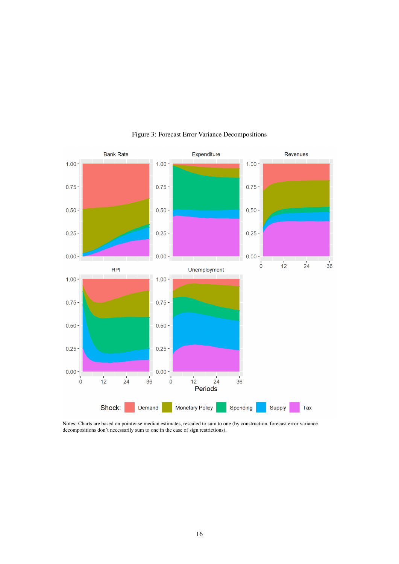<span id="page-17-0"></span>

#### Figure 3: Forecast Error Variance Decompositions

Notes: Charts are based on pointwise median estimates, rescaled to sum to one (by construction, forecast error variance decompositions don't necessarily sum to one in the case of sign restrictions).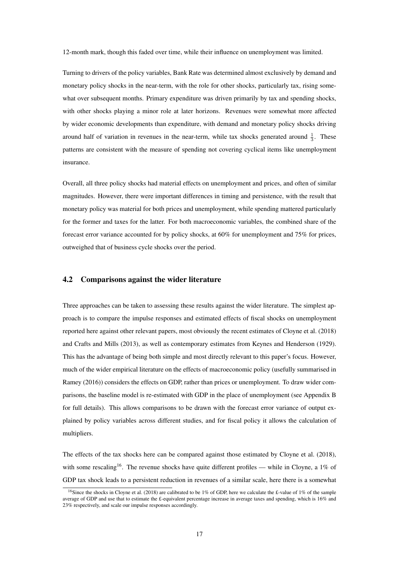12-month mark, though this faded over time, while their influence on unemployment was limited.

Turning to drivers of the policy variables, Bank Rate was determined almost exclusively by demand and monetary policy shocks in the near-term, with the role for other shocks, particularly tax, rising somewhat over subsequent months. Primary expenditure was driven primarily by tax and spending shocks, with other shocks playing a minor role at later horizons. Revenues were somewhat more affected by wider economic developments than expenditure, with demand and monetary policy shocks driving around half of variation in revenues in the near-term, while tax shocks generated around  $\frac{1}{3}$ . These patterns are consistent with the measure of spending not covering cyclical items like unemployment insurance.

Overall, all three policy shocks had material effects on unemployment and prices, and often of similar magnitudes. However, there were important differences in timing and persistence, with the result that monetary policy was material for both prices and unemployment, while spending mattered particularly for the former and taxes for the latter. For both macroeconomic variables, the combined share of the forecast error variance accounted for by policy shocks, at 60% for unemployment and 75% for prices, outweighed that of business cycle shocks over the period.

#### 4.2 Comparisons against the wider literature

Three approaches can be taken to assessing these results against the wider literature. The simplest approach is to compare the impulse responses and estimated effects of fiscal shocks on unemployment reported here against other relevant papers, most obviously the recent estimates of [Cloyne et al.](#page-30-2) [\(2018\)](#page-30-2) and [Crafts and Mills](#page-30-1) [\(2013\)](#page-30-1), as well as contemporary estimates from [Keynes and Henderson](#page-31-2) [\(1929\)](#page-31-2). This has the advantage of being both simple and most directly relevant to this paper's focus. However, much of the wider empirical literature on the effects of macroeconomic policy (usefully summarised in [Ramey](#page-32-2) [\(2016\)](#page-32-2)) considers the effects on GDP, rather than prices or unemployment. To draw wider comparisons, the baseline model is re-estimated with GDP in the place of unemployment (see Appendix [B](#page-34-0) for full details). This allows comparisons to be drawn with the forecast error variance of output explained by policy variables across different studies, and for fiscal policy it allows the calculation of multipliers.

The effects of the tax shocks here can be compared against those estimated by [Cloyne et al.](#page-30-2) [\(2018\)](#page-30-2), with some rescaling<sup>[16](#page-18-0)</sup>. The revenue shocks have quite different profiles — while in Cloyne, a 1% of GDP tax shock leads to a persistent reduction in revenues of a similar scale, here there is a somewhat

<span id="page-18-0"></span><sup>&</sup>lt;sup>16</sup>Since the shocks in [Cloyne et al.](#page-30-2) [\(2018\)](#page-30-2) are calibrated to be 1% of GDP, here we calculate the £-value of 1% of the sample average of GDP and use that to estimate the £-equivalent percentage increase in average taxes and spending, which is 16% and 23% respectively, and scale our impulse responses accordingly.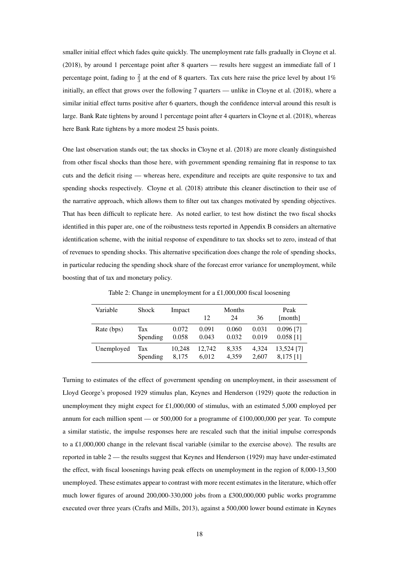smaller initial effect which fades quite quickly. The unemployment rate falls gradually in [Cloyne et al.](#page-30-2) [\(2018\)](#page-30-2), by around 1 percentage point after 8 quarters — results here suggest an immediate fall of 1 percentage point, fading to  $\frac{2}{3}$  at the end of 8 quarters. Tax cuts here raise the price level by about 1% initially, an effect that grows over the following 7 quarters — unlike in [Cloyne et al.](#page-30-2) [\(2018\)](#page-30-2), where a similar initial effect turns positive after 6 quarters, though the confidence interval around this result is large. Bank Rate tightens by around 1 percentage point after 4 quarters in [Cloyne et al.](#page-30-2) [\(2018\)](#page-30-2), whereas here Bank Rate tightens by a more modest 25 basis points.

One last observation stands out; the tax shocks in [Cloyne et al.](#page-30-2) [\(2018\)](#page-30-2) are more cleanly distinguished from other fiscal shocks than those here, with government spending remaining flat in response to tax cuts and the deficit rising — whereas here, expenditure and receipts are quite responsive to tax and spending shocks respectively. [Cloyne et al.](#page-30-2) [\(2018\)](#page-30-2) attribute this cleaner disctinction to their use of the narrative approach, which allows them to filter out tax changes motivated by spending objectives. That has been difficult to replicate here. As noted earlier, to test how distinct the two fiscal shocks identified in this paper are, one of the roibustness tests reported in Appendix [B](#page-34-0) considers an alternative identification scheme, with the initial response of expenditure to tax shocks set to zero, instead of that of revenues to spending shocks. This alternative specification does change the role of spending shocks, in particular reducing the spending shock share of the forecast error variance for unemployment, while boosting that of tax and monetary policy.

<span id="page-19-0"></span>

| Variable   | <b>Shock</b> | Impact |        | Months |       | Peak        |
|------------|--------------|--------|--------|--------|-------|-------------|
|            |              |        | 12     | 24     | 36    | [month]     |
| Rate (bps) | Tax          | 0.072  | 0.091  | 0.060  | 0.031 | $0.096$ [7] |
|            | Spending     | 0.058  | 0.043  | 0.032  | 0.019 | $0.058$ [1] |
| Unemployed | Tax          | 10,248 | 12,742 | 8,335  | 4.324 | 13,524 [7]  |
|            | Spending     | 8,175  | 6,012  | 4.359  | 2,607 | $8,175$ [1] |

Table 2: Change in unemployment for a £1,000,000 fiscal loosening

Turning to estimates of the effect of government spending on unemployment, in their assessment of Lloyd George's proposed 1929 stimulus plan, [Keynes and Henderson](#page-31-2) [\(1929\)](#page-31-2) quote the reduction in unemployment they might expect for £1,000,000 of stimulus, with an estimated 5,000 employed per annum for each million spent — or 500,000 for a programme of  $£100,000,000$  per year. To compute a similar statistic, the impulse responses here are rescaled such that the initial impulse corresponds to a £1,000,000 change in the relevant fiscal variable (similar to the exercise above). The results are reported in table  $2$  — the results suggest that [Keynes and Henderson](#page-31-2) [\(1929\)](#page-31-2) may have under-estimated the effect, with fiscal loosenings having peak effects on unemployment in the region of 8,000-13,500 unemployed. These estimates appear to contrast with more recent estimates in the literature, which offer much lower figures of around 200,000-330,000 jobs from a £300,000,000 public works programme executed over three years [\(Crafts and Mills, 2013\)](#page-30-1), against a 500,000 lower bound estimate in [Keynes](#page-31-2)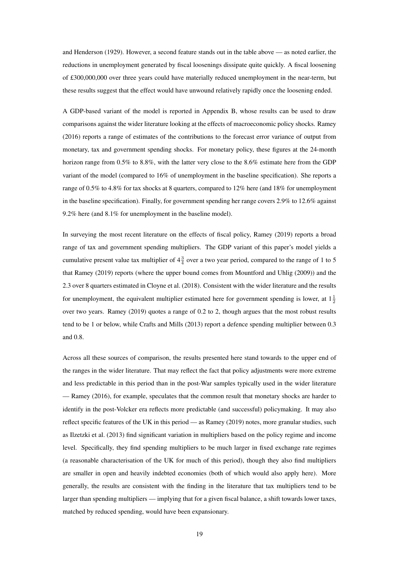[and Henderson](#page-31-2) [\(1929\)](#page-31-2). However, a second feature stands out in the table above — as noted earlier, the reductions in unemployment generated by fiscal loosenings dissipate quite quickly. A fiscal loosening of £300,000,000 over three years could have materially reduced unemployment in the near-term, but these results suggest that the effect would have unwound relatively rapidly once the loosening ended.

A GDP-based variant of the model is reported in Appendix [B,](#page-34-0) whose results can be used to draw comparisons against the wider literature looking at the effects of macroeconomic policy shocks. [Ramey](#page-32-2) [\(2016\)](#page-32-2) reports a range of estimates of the contributions to the forecast error variance of output from monetary, tax and government spending shocks. For monetary policy, these figures at the 24-month horizon range from 0.5% to 8.8%, with the latter very close to the 8.6% estimate here from the GDP variant of the model (compared to 16% of unemployment in the baseline specification). She reports a range of 0.5% to 4.8% for tax shocks at 8 quarters, compared to 12% here (and 18% for unemployment in the baseline specification). Finally, for government spending her range covers 2.9% to 12.6% against 9.2% here (and 8.1% for unemployment in the baseline model).

In surveying the most recent literature on the effects of fiscal policy, [Ramey](#page-32-3) [\(2019\)](#page-32-3) reports a broad range of tax and government spending multipliers. The GDP variant of this paper's model yields a cumulative present value tax multiplier of  $4\frac{3}{4}$  over a two year period, compared to the range of 1 to 5 that [Ramey](#page-32-3) [\(2019\)](#page-32-3) reports (where the upper bound comes from [Mountford and Uhlig](#page-32-5) [\(2009\)](#page-32-5)) and the 2.3 over 8 quarters estimated in [Cloyne et al.](#page-30-2) [\(2018\)](#page-30-2). Consistent with the wider literature and the results for unemployment, the equivalent multiplier estimated here for government spending is lower, at  $1\frac{1}{2}$ over two years. [Ramey](#page-32-3) [\(2019\)](#page-32-3) quotes a range of 0.2 to 2, though argues that the most robust results tend to be 1 or below, while [Crafts and Mills](#page-30-1) [\(2013\)](#page-30-1) report a defence spending multiplier between 0.3 and 0.8.

Across all these sources of comparison, the results presented here stand towards to the upper end of the ranges in the wider literature. That may reflect the fact that policy adjustments were more extreme and less predictable in this period than in the post-War samples typically used in the wider literature — [Ramey](#page-32-2) [\(2016\)](#page-32-2), for example, speculates that the common result that monetary shocks are harder to identify in the post-Volcker era reflects more predictable (and successful) policymaking. It may also reflect specific features of the UK in this period — as [Ramey](#page-32-3) [\(2019\)](#page-32-3) notes, more granular studies, such as [Ilzetzki et al.](#page-31-14) [\(2013\)](#page-31-14) find significant variation in multipliers based on the policy regime and income level. Specifically, they find spending multipliers to be much larger in fixed exchange rate regimes (a reasonable characterisation of the UK for much of this period), though they also find multipliers are smaller in open and heavily indebted economies (both of which would also apply here). More generally, the results are consistent with the finding in the literature that tax multipliers tend to be larger than spending multipliers — implying that for a given fiscal balance, a shift towards lower taxes, matched by reduced spending, would have been expansionary.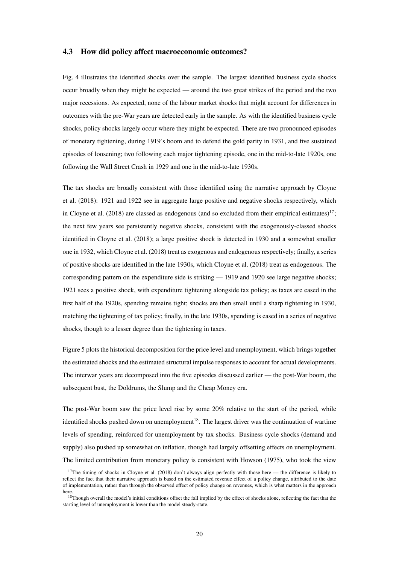#### 4.3 How did policy affect macroeconomic outcomes?

Fig. [4](#page-22-0) illustrates the identified shocks over the sample. The largest identified business cycle shocks occur broadly when they might be expected — around the two great strikes of the period and the two major recessions. As expected, none of the labour market shocks that might account for differences in outcomes with the pre-War years are detected early in the sample. As with the identified business cycle shocks, policy shocks largely occur where they might be expected. There are two pronounced episodes of monetary tightening, during 1919's boom and to defend the gold parity in 1931, and five sustained episodes of loosening; two following each major tightening episode, one in the mid-to-late 1920s, one following the Wall Street Crash in 1929 and one in the mid-to-late 1930s.

The tax shocks are broadly consistent with those identified using the narrative approach by [Cloyne](#page-30-2) [et al.](#page-30-2) [\(2018\)](#page-30-2): 1921 and 1922 see in aggregate large positive and negative shocks respectively, which in [Cloyne et al.](#page-30-2) [\(2018\)](#page-30-2) are classed as endogenous (and so excluded from their empirical estimates)<sup>[17](#page-21-0)</sup>; the next few years see persistently negative shocks, consistent with the exogenously-classed shocks identified in [Cloyne et al.](#page-30-2) [\(2018\)](#page-30-2); a large positive shock is detected in 1930 and a somewhat smaller one in 1932, which [Cloyne et al.](#page-30-2) [\(2018\)](#page-30-2) treat as exogenous and endogenous respectively; finally, a series of positive shocks are identified in the late 1930s, which [Cloyne et al.](#page-30-2) [\(2018\)](#page-30-2) treat as endogenous. The corresponding pattern on the expenditure side is striking — 1919 and 1920 see large negative shocks; 1921 sees a positive shock, with expenditure tightening alongside tax policy; as taxes are eased in the first half of the 1920s, spending remains tight; shocks are then small until a sharp tightening in 1930, matching the tightening of tax policy; finally, in the late 1930s, spending is eased in a series of negative shocks, though to a lesser degree than the tightening in taxes.

Figure [5](#page-23-0) plots the historical decomposition for the price level and unemployment, which brings together the estimated shocks and the estimated structural impulse responses to account for actual developments. The interwar years are decomposed into the five episodes discussed earlier — the post-War boom, the subsequent bust, the Doldrums, the Slump and the Cheap Money era.

The post-War boom saw the price level rise by some 20% relative to the start of the period, while identified shocks pushed down on unemployment<sup>[18](#page-21-1)</sup>. The largest driver was the continuation of wartime levels of spending, reinforced for unemployment by tax shocks. Business cycle shocks (demand and supply) also pushed up somewhat on inflation, though had largely offsetting effects on unemployment. The limited contribution from monetary policy is consistent with [Howson](#page-31-9) [\(1975\)](#page-31-9), who took the view

<span id="page-21-0"></span><sup>&</sup>lt;sup>17</sup>The timing of shocks in [Cloyne et al.](#page-30-2) [\(2018\)](#page-30-2) don't always align perfectly with those here — the difference is likely to reflect the fact that their narrative approach is based on the estimated revenue effect of a policy change, attributed to the date of implementation, rather than through the observed effect of policy change on revenues, which is what matters in the approach here.

<span id="page-21-1"></span><sup>&</sup>lt;sup>18</sup>Though overall the model's initial conditions offset the fall implied by the effect of shocks alone, reflecting the fact that the starting level of unemployment is lower than the model steady-state.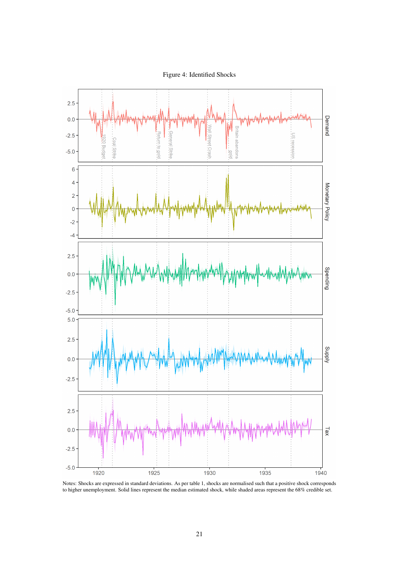Figure 4: Identified Shocks

<span id="page-22-0"></span>

Notes: Shocks are expressed in standard deviations. As per table [1,](#page-11-1) shocks are normalised such that a positive shock corresponds to higher unemployment. Solid lines represent the median estimated shock, while shaded areas represent the 68% credible set.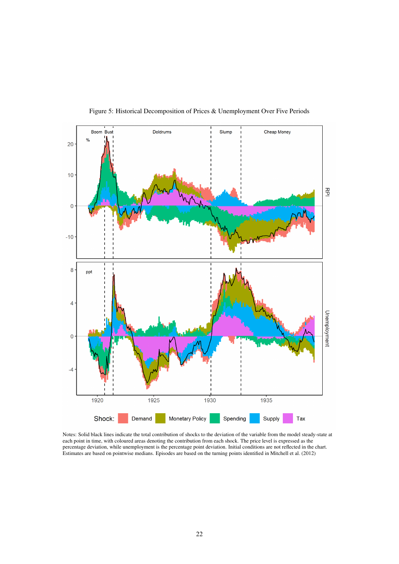<span id="page-23-0"></span>

Figure 5: Historical Decomposition of Prices & Unemployment Over Five Periods

Notes: Solid black lines indicate the total contribution of shocks to the deviation of the variable from the model steady-state at each point in time, with coloured areas denoting the contribution from each shock. The price level is expressed as the percentage deviation, while unemployment is the percentage point deviation. Initial conditions are not reflected in the chart. Estimates are based on pointwise medians. Episodes are based on the turning points identified in [Mitchell et al.](#page-31-8) [\(2012\)](#page-31-8)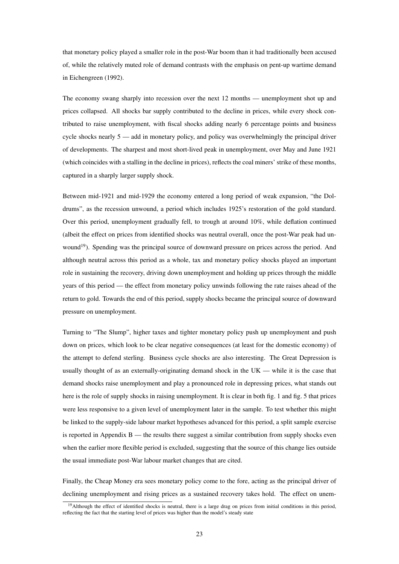that monetary policy played a smaller role in the post-War boom than it had traditionally been accused of, while the relatively muted role of demand contrasts with the emphasis on pent-up wartime demand in [Eichengreen](#page-30-6) [\(1992\)](#page-30-6).

The economy swang sharply into recession over the next 12 months — unemployment shot up and prices collapsed. All shocks bar supply contributed to the decline in prices, while every shock contributed to raise unemployment, with fiscal shocks adding nearly 6 percentage points and business cycle shocks nearly 5 — add in monetary policy, and policy was overwhelmingly the principal driver of developments. The sharpest and most short-lived peak in unemployment, over May and June 1921 (which coincides with a stalling in the decline in prices), reflects the coal miners' strike of these months, captured in a sharply larger supply shock.

Between mid-1921 and mid-1929 the economy entered a long period of weak expansion, "the Doldrums", as the recession unwound, a period which includes 1925's restoration of the gold standard. Over this period, unemployment gradually fell, to trough at around 10%, while deflation continued (albeit the effect on prices from identified shocks was neutral overall, once the post-War peak had un-wound<sup>[19](#page-24-0)</sup>). Spending was the principal source of downward pressure on prices across the period. And although neutral across this period as a whole, tax and monetary policy shocks played an important role in sustaining the recovery, driving down unemployment and holding up prices through the middle years of this period — the effect from monetary policy unwinds following the rate raises ahead of the return to gold. Towards the end of this period, supply shocks became the principal source of downward pressure on unemployment.

Turning to "The Slump", higher taxes and tighter monetary policy push up unemployment and push down on prices, which look to be clear negative consequences (at least for the domestic economy) of the attempt to defend sterling. Business cycle shocks are also interesting. The Great Depression is usually thought of as an externally-originating demand shock in the UK — while it is the case that demand shocks raise unemployment and play a pronounced role in depressing prices, what stands out here is the role of supply shocks in raising unemployment. It is clear in both fig. [1](#page-6-0) and fig. [5](#page-23-0) that prices were less responsive to a given level of unemployment later in the sample. To test whether this might be linked to the supply-side labour market hypotheses advanced for this period, a split sample exercise is reported in Appendix [B](#page-34-0) — the results there suggest a similar contribution from supply shocks even when the earlier more flexible period is excluded, suggesting that the source of this change lies outside the usual immediate post-War labour market changes that are cited.

Finally, the Cheap Money era sees monetary policy come to the fore, acting as the principal driver of declining unemployment and rising prices as a sustained recovery takes hold. The effect on unem-

<span id="page-24-0"></span><sup>&</sup>lt;sup>19</sup>Although the effect of identified shocks is neutral, there is a large drag on prices from initial conditions in this period, reflecting the fact that the starting level of prices was higher than the model's steady state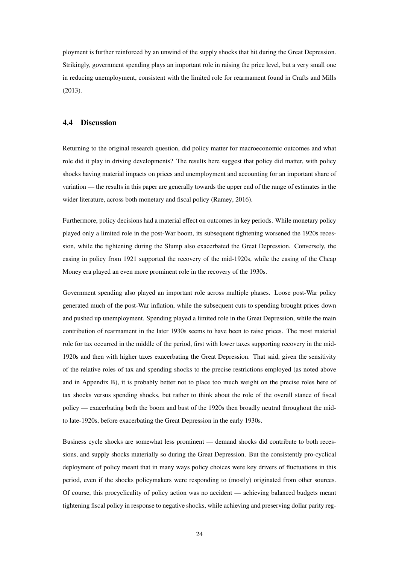ployment is further reinforced by an unwind of the supply shocks that hit during the Great Depression. Strikingly, government spending plays an important role in raising the price level, but a very small one in reducing unemployment, consistent with the limited role for rearmament found in [Crafts and Mills](#page-30-1) [\(2013\)](#page-30-1).

#### 4.4 Discussion

Returning to the original research question, did policy matter for macroeconomic outcomes and what role did it play in driving developments? The results here suggest that policy did matter, with policy shocks having material impacts on prices and unemployment and accounting for an important share of variation — the results in this paper are generally towards the upper end of the range of estimates in the wider literature, across both monetary and fiscal policy [\(Ramey, 2016\)](#page-32-2).

Furthermore, policy decisions had a material effect on outcomes in key periods. While monetary policy played only a limited role in the post-War boom, its subsequent tightening worsened the 1920s recession, while the tightening during the Slump also exacerbated the Great Depression. Conversely, the easing in policy from 1921 supported the recovery of the mid-1920s, while the easing of the Cheap Money era played an even more prominent role in the recovery of the 1930s.

Government spending also played an important role across multiple phases. Loose post-War policy generated much of the post-War inflation, while the subsequent cuts to spending brought prices down and pushed up unemployment. Spending played a limited role in the Great Depression, while the main contribution of rearmament in the later 1930s seems to have been to raise prices. The most material role for tax occurred in the middle of the period, first with lower taxes supporting recovery in the mid-1920s and then with higher taxes exacerbating the Great Depression. That said, given the sensitivity of the relative roles of tax and spending shocks to the precise restrictions employed (as noted above and in Appendix [B\)](#page-34-0), it is probably better not to place too much weight on the precise roles here of tax shocks versus spending shocks, but rather to think about the role of the overall stance of fiscal policy — exacerbating both the boom and bust of the 1920s then broadly neutral throughout the midto late-1920s, before exacerbating the Great Depression in the early 1930s.

Business cycle shocks are somewhat less prominent — demand shocks did contribute to both recessions, and supply shocks materially so during the Great Depression. But the consistently pro-cyclical deployment of policy meant that in many ways policy choices were key drivers of fluctuations in this period, even if the shocks policymakers were responding to (mostly) originated from other sources. Of course, this procyclicality of policy action was no accident — achieving balanced budgets meant tightening fiscal policy in response to negative shocks, while achieving and preserving dollar parity reg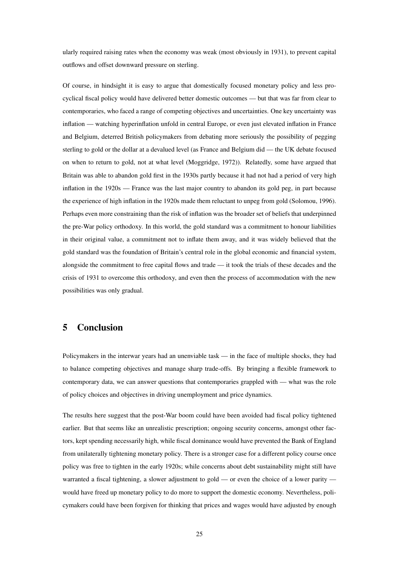ularly required raising rates when the economy was weak (most obviously in 1931), to prevent capital outflows and offset downward pressure on sterling.

Of course, in hindsight it is easy to argue that domestically focused monetary policy and less procyclical fiscal policy would have delivered better domestic outcomes — but that was far from clear to contemporaries, who faced a range of competing objectives and uncertainties. One key uncertainty was inflation — watching hyperinflation unfold in central Europe, or even just elevated inflation in France and Belgium, deterred British policymakers from debating more seriously the possibility of pegging sterling to gold or the dollar at a devalued level (as France and Belgium did — the UK debate focused on when to return to gold, not at what level [\(Moggridge, 1972\)](#page-31-0)). Relatedly, some have argued that Britain was able to abandon gold first in the 1930s partly because it had not had a period of very high inflation in the 1920s — France was the last major country to abandon its gold peg, in part because the experience of high inflation in the 1920s made them reluctant to unpeg from gold [\(Solomou, 1996\)](#page-32-13). Perhaps even more constraining than the risk of inflation was the broader set of beliefs that underpinned the pre-War policy orthodoxy. In this world, the gold standard was a commitment to honour liabilities in their original value, a commitment not to inflate them away, and it was widely believed that the gold standard was the foundation of Britain's central role in the global economic and financial system, alongside the commitment to free capital flows and trade — it took the trials of these decades and the crisis of 1931 to overcome this orthodoxy, and even then the process of accommodation with the new possibilities was only gradual.

# <span id="page-26-0"></span>5 Conclusion

Policymakers in the interwar years had an unenviable task — in the face of multiple shocks, they had to balance competing objectives and manage sharp trade-offs. By bringing a flexible framework to contemporary data, we can answer questions that contemporaries grappled with — what was the role of policy choices and objectives in driving unemployment and price dynamics.

The results here suggest that the post-War boom could have been avoided had fiscal policy tightened earlier. But that seems like an unrealistic prescription; ongoing security concerns, amongst other factors, kept spending necessarily high, while fiscal dominance would have prevented the Bank of England from unilaterally tightening monetary policy. There is a stronger case for a different policy course once policy was free to tighten in the early 1920s; while concerns about debt sustainability might still have warranted a fiscal tightening, a slower adjustment to gold — or even the choice of a lower parity would have freed up monetary policy to do more to support the domestic economy. Nevertheless, policymakers could have been forgiven for thinking that prices and wages would have adjusted by enough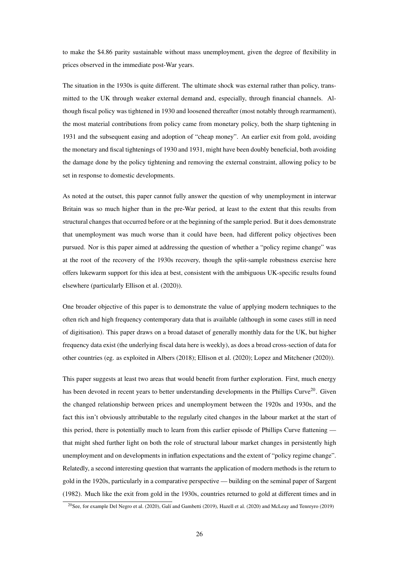to make the \$4.86 parity sustainable without mass unemployment, given the degree of flexibility in prices observed in the immediate post-War years.

The situation in the 1930s is quite different. The ultimate shock was external rather than policy, transmitted to the UK through weaker external demand and, especially, through financial channels. Although fiscal policy was tightened in 1930 and loosened thereafter (most notably through rearmament), the most material contributions from policy came from monetary policy, both the sharp tightening in 1931 and the subsequent easing and adoption of "cheap money". An earlier exit from gold, avoiding the monetary and fiscal tightenings of 1930 and 1931, might have been doubly beneficial, both avoiding the damage done by the policy tightening and removing the external constraint, allowing policy to be set in response to domestic developments.

As noted at the outset, this paper cannot fully answer the question of why unemployment in interwar Britain was so much higher than in the pre-War period, at least to the extent that this results from structural changes that occurred before or at the beginning of the sample period. But it does demonstrate that unemployment was much worse than it could have been, had different policy objectives been pursued. Nor is this paper aimed at addressing the question of whether a "policy regime change" was at the root of the recovery of the 1930s recovery, though the split-sample robustness exercise here offers lukewarm support for this idea at best, consistent with the ambiguous UK-specific results found elsewhere (particularly [Ellison et al.](#page-30-3) [\(2020\)](#page-30-3)).

One broader objective of this paper is to demonstrate the value of applying modern techniques to the often rich and high frequency contemporary data that is available (although in some cases still in need of digitisation). This paper draws on a broad dataset of generally monthly data for the UK, but higher frequency data exist (the underlying fiscal data here is weekly), as does a broad cross-section of data for other countries (eg. as exploited in [Albers](#page-29-14) [\(2018\)](#page-29-14); [Ellison et al.](#page-30-3) [\(2020\)](#page-30-3); [Lopez and Mitchener](#page-31-15) [\(2020\)](#page-31-15)).

This paper suggests at least two areas that would benefit from further exploration. First, much energy has been devoted in recent years to better understanding developments in the Phillips Curve<sup>[20](#page-27-0)</sup>. Given the changed relationship between prices and unemployment between the 1920s and 1930s, and the fact this isn't obviously attributable to the regularly cited changes in the labour market at the start of this period, there is potentially much to learn from this earlier episode of Phillips Curve flattening that might shed further light on both the role of structural labour market changes in persistently high unemployment and on developments in inflation expectations and the extent of "policy regime change". Relatedly, a second interesting question that warrants the application of modern methods is the return to gold in the 1920s, particularly in a comparative perspective — building on the seminal paper of [Sargent](#page-32-14) [\(1982\)](#page-32-14). Much like the exit from gold in the 1930s, countries returned to gold at different times and in

<span id="page-27-0"></span><sup>20</sup>See, for example [Del Negro et al.](#page-30-17) [\(2020\)](#page-30-17), [Galí and Gambetti](#page-30-18) [\(2019\)](#page-30-18), [Hazell et al.](#page-31-16) [\(2020\)](#page-31-16) and [McLeay and Tenreyro](#page-31-17) [\(2019\)](#page-31-17)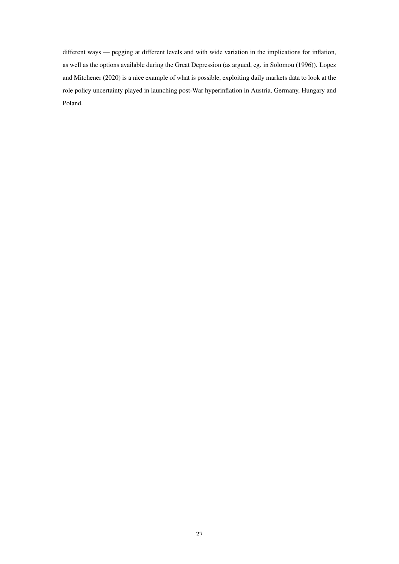different ways — pegging at different levels and with wide variation in the implications for inflation, as well as the options available during the Great Depression (as argued, eg. in [Solomou](#page-32-13) [\(1996\)](#page-32-13)). [Lopez](#page-31-15) [and Mitchener](#page-31-15) [\(2020\)](#page-31-15) is a nice example of what is possible, exploiting daily markets data to look at the role policy uncertainty played in launching post-War hyperinflation in Austria, Germany, Hungary and Poland.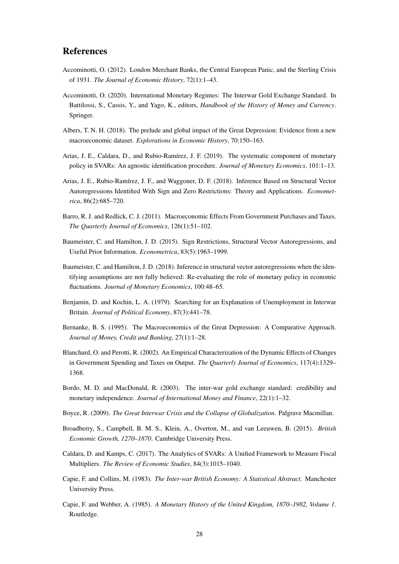# References

- <span id="page-29-11"></span>Accominotti, O. (2012). London Merchant Banks, the Central European Panic, and the Sterling Crisis of 1931. *The Journal of Economic History*, 72(1):1–43.
- <span id="page-29-9"></span>Accominotti, O. (2020). International Monetary Regimes: The Interwar Gold Exchange Standard. In Battilossi, S., Cassis, Y., and Yago, K., editors, *Handbook of the History of Money and Currency*. Springer.
- <span id="page-29-14"></span>Albers, T. N. H. (2018). The prelude and global impact of the Great Depression: Evidence from a new macroeconomic dataset. *Explorations in Economic History*, 70:150–163.
- <span id="page-29-4"></span>Arias, J. E., Caldara, D., and Rubio-Ramírez, J. F. (2019). The systematic component of monetary policy in SVARs: An agnostic identification procedure. *Journal of Monetary Economics*, 101:1–13.
- <span id="page-29-5"></span>Arias, J. E., Rubio-Ramírez, J. F., and Waggoner, D. F. (2018). Inference Based on Structural Vector Autoregressions Identified With Sign and Zero Restrictions: Theory and Applications. *Econometrica*, 86(2):685–720.
- <span id="page-29-13"></span>Barro, R. J. and Redlick, C. J. (2011). Macroeconomic Effects From Government Purchases and Taxes. *The Quarterly Journal of Economics*, 126(1):51–102.
- <span id="page-29-2"></span>Baumeister, C. and Hamilton, J. D. (2015). Sign Restrictions, Structural Vector Autoregressions, and Useful Prior Information. *Econometrica*, 83(5):1963–1999.
- <span id="page-29-3"></span>Baumeister, C. and Hamilton, J. D. (2018). Inference in structural vector autoregressions when the identifying assumptions are not fully believed: Re-evaluating the role of monetary policy in economic fluctuations. *Journal of Monetary Economics*, 100:48–65.
- <span id="page-29-0"></span>Benjamin, D. and Kochin, L. A. (1979). Searching for an Explanation of Unemployment in Interwar Britain. *Journal of Political Economy*, 87(3):441–78.
- <span id="page-29-1"></span>Bernanke, B. S. (1995). The Macroeconomics of the Great Depression: A Comparative Approach. *Journal of Money, Credit and Banking*, 27(1):1–28.
- <span id="page-29-12"></span>Blanchard, O. and Perotti, R. (2002). An Empirical Characterization of the Dynamic Effects of Changes in Government Spending and Taxes on Output. *The Quarterly Journal of Economics*, 117(4):1329– 1368.
- <span id="page-29-10"></span>Bordo, M. D. and MacDonald, R. (2003). The inter-war gold exchange standard: credibility and monetary independence. *Journal of International Money and Finance*, 22(1):1–32.
- <span id="page-29-7"></span>Boyce, R. (2009). *The Great Interwar Crisis and the Collapse of Globalization*. Palgrave Macmillan.
- <span id="page-29-15"></span>Broadberry, S., Campbell, B. M. S., Klein, A., Overton, M., and van Leeuwen, B. (2015). *British Economic Growth, 1270–1870*. Cambridge University Press.
- <span id="page-29-6"></span>Caldara, D. and Kamps, C. (2017). The Analytics of SVARs: A Unified Framework to Measure Fiscal Multipliers. *The Review of Economic Studies*, 84(3):1015–1040.
- <span id="page-29-8"></span>Capie, F. and Collins, M. (1983). *The Inter-war British Economy: A Statistical Abstract*. Manchester University Press.
- <span id="page-29-16"></span>Capie, F. and Webber, A. (1985). *A Monetary History of the United Kingdom, 1870–1982, Volume 1*. Routledge.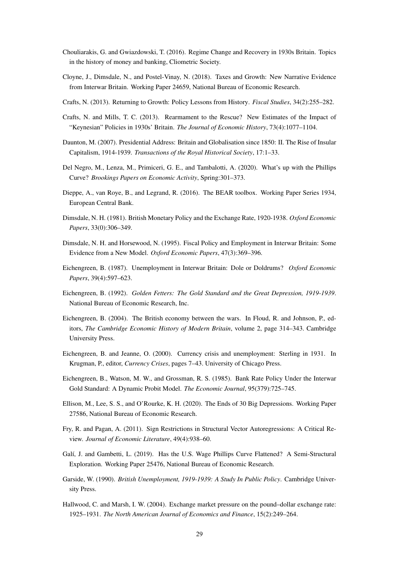- <span id="page-30-8"></span>Chouliarakis, G. and Gwiazdowski, T. (2016). Regime Change and Recovery in 1930s Britain. Topics in the history of money and banking, Cliometric Society.
- <span id="page-30-2"></span>Cloyne, J., Dimsdale, N., and Postel-Vinay, N. (2018). Taxes and Growth: New Narrative Evidence from Interwar Britain. Working Paper 24659, National Bureau of Economic Research.
- <span id="page-30-14"></span>Crafts, N. (2013). Returning to Growth: Policy Lessons from History. *Fiscal Studies*, 34(2):255–282.
- <span id="page-30-1"></span>Crafts, N. and Mills, T. C. (2013). Rearmament to the Rescue? New Estimates of the Impact of "Keynesian" Policies in 1930s' Britain. *The Journal of Economic History*, 73(4):1077–1104.
- <span id="page-30-7"></span>Daunton, M. (2007). Presidential Address: Britain and Globalisation since 1850: II. The Rise of Insular Capitalism, 1914-1939. *Transactions of the Royal Historical Society*, 17:1–33.
- <span id="page-30-17"></span>Del Negro, M., Lenza, M., Primiceri, G. E., and Tambalotti, A. (2020). What's up with the Phillips Curve? *Brookings Papers on Economic Activity*, Spring:301–373.
- <span id="page-30-16"></span>Dieppe, A., van Roye, B., and Legrand, R. (2016). The BEAR toolbox. Working Paper Series 1934, European Central Bank.
- <span id="page-30-11"></span>Dimsdale, N. H. (1981). British Monetary Policy and the Exchange Rate, 1920-1938. *Oxford Economic Papers*, 33(0):306–349.
- <span id="page-30-0"></span>Dimsdale, N. H. and Horsewood, N. (1995). Fiscal Policy and Employment in Interwar Britain: Some Evidence from a New Model. *Oxford Economic Papers*, 47(3):369–396.
- <span id="page-30-4"></span>Eichengreen, B. (1987). Unemployment in Interwar Britain: Dole or Doldrums? *Oxford Economic Papers*, 39(4):597–623.
- <span id="page-30-6"></span>Eichengreen, B. (1992). *Golden Fetters: The Gold Standard and the Great Depression, 1919-1939*. National Bureau of Economic Research, Inc.
- <span id="page-30-9"></span>Eichengreen, B. (2004). The British economy between the wars. In Floud, R. and Johnson, P., editors, *The Cambridge Economic History of Modern Britain*, volume 2, page 314–343. Cambridge University Press.
- <span id="page-30-12"></span>Eichengreen, B. and Jeanne, O. (2000). Currency crisis and unemployment: Sterling in 1931. In Krugman, P., editor, *Currency Crises*, pages 7–43. University of Chicago Press.
- <span id="page-30-10"></span>Eichengreen, B., Watson, M. W., and Grossman, R. S. (1985). Bank Rate Policy Under the Interwar Gold Standard: A Dynamic Probit Model. *The Economic Journal*, 95(379):725–745.
- <span id="page-30-3"></span>Ellison, M., Lee, S. S., and O'Rourke, K. H. (2020). The Ends of 30 Big Depressions. Working Paper 27586, National Bureau of Economic Research.
- <span id="page-30-15"></span>Fry, R. and Pagan, A. (2011). Sign Restrictions in Structural Vector Autoregressions: A Critical Review. *Journal of Economic Literature*, 49(4):938–60.
- <span id="page-30-18"></span>Galí, J. and Gambetti, L. (2019). Has the U.S. Wage Phillips Curve Flattened? A Semi-Structural Exploration. Working Paper 25476, National Bureau of Economic Research.
- <span id="page-30-5"></span>Garside, W. (1990). *British Unemployment, 1919-1939: A Study In Public Policy*. Cambridge University Press.
- <span id="page-30-13"></span>Hallwood, C. and Marsh, I. W. (2004). Exchange market pressure on the pound–dollar exchange rate: 1925–1931. *The North American Journal of Economics and Finance*, 15(2):249–264.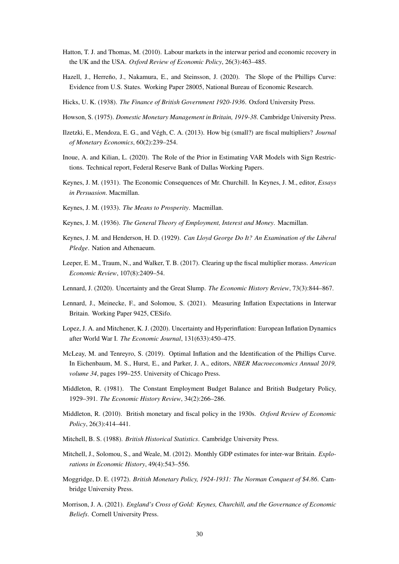- <span id="page-31-5"></span>Hatton, T. J. and Thomas, M. (2010). Labour markets in the interwar period and economic recovery in the UK and the USA. *Oxford Review of Economic Policy*, 26(3):463–485.
- <span id="page-31-16"></span>Hazell, J., Herreño, J., Nakamura, E., and Steinsson, J. (2020). The Slope of the Phillips Curve: Evidence from U.S. States. Working Paper 28005, National Bureau of Economic Research.
- <span id="page-31-10"></span>Hicks, U. K. (1938). *The Finance of British Government 1920-1936*. Oxford University Press.
- <span id="page-31-9"></span>Howson, S. (1975). *Domestic Monetary Management in Britain, 1919-38*. Cambridge University Press.
- <span id="page-31-14"></span>Ilzetzki, E., Mendoza, E. G., and Végh, C. A. (2013). How big (small?) are fiscal multipliers? *Journal of Monetary Economics*, 60(2):239–254.
- <span id="page-31-7"></span>Inoue, A. and Kilian, L. (2020). The Role of the Prior in Estimating VAR Models with Sign Restrictions. Technical report, Federal Reserve Bank of Dallas Working Papers.
- <span id="page-31-1"></span>Keynes, J. M. (1931). The Economic Consequences of Mr. Churchill. In Keynes, J. M., editor, *Essays in Persuasion*. Macmillan.
- <span id="page-31-3"></span>Keynes, J. M. (1933). *The Means to Prosperity*. Macmillan.
- <span id="page-31-4"></span>Keynes, J. M. (1936). *The General Theory of Employment, Interest and Money*. Macmillan.
- <span id="page-31-2"></span>Keynes, J. M. and Henderson, H. D. (1929). *Can Lloyd George Do It? An Examination of the Liberal Pledge*. Nation and Athenaeum.
- <span id="page-31-20"></span>Leeper, E. M., Traum, N., and Walker, T. B. (2017). Clearing up the fiscal multiplier morass. *American Economic Review*, 107(8):2409–54.
- <span id="page-31-13"></span>Lennard, J. (2020). Uncertainty and the Great Slump. *The Economic History Review*, 73(3):844–867.
- <span id="page-31-6"></span>Lennard, J., Meinecke, F., and Solomou, S. (2021). Measuring Inflation Expectations in Interwar Britain. Working Paper 9425, CESifo.
- <span id="page-31-15"></span>Lopez, J. A. and Mitchener, K. J. (2020). Uncertainty and Hyperinflation: European Inflation Dynamics after World War I. *The Economic Journal*, 131(633):450–475.
- <span id="page-31-17"></span>McLeay, M. and Tenreyro, S. (2019). Optimal Inflation and the Identification of the Phillips Curve. In Eichenbaum, M. S., Hurst, E., and Parker, J. A., editors, *NBER Macroeconomics Annual 2019, volume 34*, pages 199–255. University of Chicago Press.
- <span id="page-31-19"></span>Middleton, R. (1981). The Constant Employment Budget Balance and British Budgetary Policy, 1929–391. *The Economic History Review*, 34(2):266–286.
- <span id="page-31-12"></span>Middleton, R. (2010). British monetary and fiscal policy in the 1930s. *Oxford Review of Economic Policy*, 26(3):414–441.
- <span id="page-31-18"></span>Mitchell, B. S. (1988). *British Historical Statistics*. Cambridge University Press.
- <span id="page-31-8"></span>Mitchell, J., Solomou, S., and Weale, M. (2012). Monthly GDP estimates for inter-war Britain. *Explorations in Economic History*, 49(4):543–556.
- <span id="page-31-0"></span>Moggridge, D. E. (1972). *British Monetary Policy, 1924-1931: The Norman Conquest of \$4.86*. Cambridge University Press.
- <span id="page-31-11"></span>Morrison, J. A. (2021). *England's Cross of Gold: Keynes, Churchill, and the Governance of Economic Beliefs*. Cornell University Press.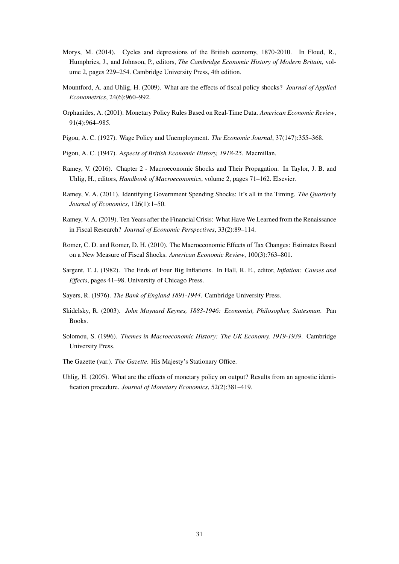- <span id="page-32-9"></span>Morys, M. (2014). Cycles and depressions of the British economy, 1870-2010. In Floud, R., Humphries, J., and Johnson, P., editors, *The Cambridge Economic History of Modern Britain*, volume 2, pages 229–254. Cambridge University Press, 4th edition.
- <span id="page-32-5"></span>Mountford, A. and Uhlig, H. (2009). What are the effects of fiscal policy shocks? *Journal of Applied Econometrics*, 24(6):960–992.
- <span id="page-32-12"></span>Orphanides, A. (2001). Monetary Policy Rules Based on Real-Time Data. *American Economic Review*, 91(4):964–985.
- <span id="page-32-1"></span>Pigou, A. C. (1927). Wage Policy and Unemployment. *The Economic Journal*, 37(147):355–368.
- <span id="page-32-8"></span>Pigou, A. C. (1947). *Aspects of British Economic History, 1918-25*. Macmillan.
- <span id="page-32-2"></span>Ramey, V. (2016). Chapter 2 - Macroeconomic Shocks and Their Propagation. In Taylor, J. B. and Uhlig, H., editors, *Handbook of Macroeconomics*, volume 2, pages 71–162. Elsevier.
- <span id="page-32-11"></span>Ramey, V. A. (2011). Identifying Government Spending Shocks: It's all in the Timing. *The Quarterly Journal of Economics*, 126(1):1–50.
- <span id="page-32-3"></span>Ramey, V. A. (2019). Ten Years after the Financial Crisis: What Have We Learned from the Renaissance in Fiscal Research? *Journal of Economic Perspectives*, 33(2):89–114.
- <span id="page-32-10"></span>Romer, C. D. and Romer, D. H. (2010). The Macroeconomic Effects of Tax Changes: Estimates Based on a New Measure of Fiscal Shocks. *American Economic Review*, 100(3):763–801.
- <span id="page-32-14"></span>Sargent, T. J. (1982). The Ends of Four Big Inflations. In Hall, R. E., editor, *Inflation: Causes and Effects*, pages 41–98. University of Chicago Press.
- <span id="page-32-6"></span>Sayers, R. (1976). *The Bank of England 1891-1944*. Cambridge University Press.
- <span id="page-32-0"></span>Skidelsky, R. (2003). *John Maynard Keynes, 1883-1946: Economist, Philosopher, Statesman*. Pan Books.
- <span id="page-32-13"></span>Solomou, S. (1996). *Themes in Macroeconomic History: The UK Economy, 1919-1939*. Cambridge University Press.
- <span id="page-32-7"></span>The Gazette (var.). *The Gazette*. His Majesty's Stationary Office.
- <span id="page-32-4"></span>Uhlig, H. (2005). What are the effects of monetary policy on output? Results from an agnostic identification procedure. *Journal of Monetary Economics*, 52(2):381–419.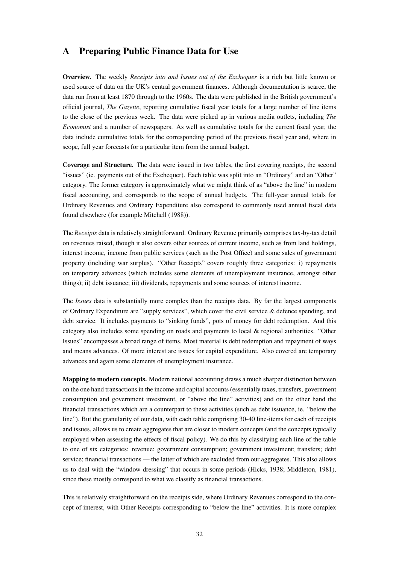# <span id="page-33-0"></span>A Preparing Public Finance Data for Use

Overview. The weekly *Receipts into and Issues out of the Exchequer* is a rich but little known or used source of data on the UK's central government finances. Although documentation is scarce, the data run from at least 1870 through to the 1960s. The data were published in the British government's official journal, *The Gazette*, reporting cumulative fiscal year totals for a large number of line items to the close of the previous week. The data were picked up in various media outlets, including *The Economist* and a number of newspapers. As well as cumulative totals for the current fiscal year, the data include cumulative totals for the corresponding period of the previous fiscal year and, where in scope, full year forecasts for a particular item from the annual budget.

Coverage and Structure. The data were issued in two tables, the first covering receipts, the second "issues" (ie. payments out of the Exchequer). Each table was split into an "Ordinary" and an "Other" category. The former category is approximately what we might think of as "above the line" in modern fiscal accounting, and corresponds to the scope of annual budgets. The full-year annual totals for Ordinary Revenues and Ordinary Expenditure also correspond to commonly used annual fiscal data found elsewhere (for example [Mitchell](#page-31-18) [\(1988\)](#page-31-18)).

The *Receipts* data is relatively straightforward. Ordinary Revenue primarily comprises tax-by-tax detail on revenues raised, though it also covers other sources of current income, such as from land holdings, interest income, income from public services (such as the Post Office) and some sales of government property (including war surplus). "Other Receipts" covers roughly three categories: i) repayments on temporary advances (which includes some elements of unemployment insurance, amongst other things); ii) debt issuance; iii) dividends, repayments and some sources of interest income.

The *Issues* data is substantially more complex than the receipts data. By far the largest components of Ordinary Expenditure are "supply services", which cover the civil service & defence spending, and debt service. It includes payments to "sinking funds", pots of money for debt redemption. And this category also includes some spending on roads and payments to local & regional authorities. "Other Issues" encompasses a broad range of items. Most material is debt redemption and repayment of ways and means advances. Of more interest are issues for capital expenditure. Also covered are temporary advances and again some elements of unemployment insurance.

Mapping to modern concepts. Modern national accounting draws a much sharper distinction between on the one hand transactions in the income and capital accounts (essentially taxes, transfers, government consumption and government investment, or "above the line" activities) and on the other hand the financial transactions which are a counterpart to these activities (such as debt issuance, ie. "below the line"). But the granularity of our data, with each table comprising 30-40 line-items for each of receipts and issues, allows us to create aggregates that are closer to modern concepts (and the concepts typically employed when assessing the effects of fiscal policy). We do this by classifying each line of the table to one of six categories: revenue; government consumption; government investment; transfers; debt service; financial transactions — the latter of which are excluded from our aggregates. This also allows us to deal with the "window dressing" that occurs in some periods [\(Hicks, 1938;](#page-31-10) [Middleton, 1981\)](#page-31-19), since these mostly correspond to what we classify as financial transactions.

This is relatively straightforward on the receipts side, where Ordinary Revenues correspond to the concept of interest, with Other Receipts corresponding to "below the line" activities. It is more complex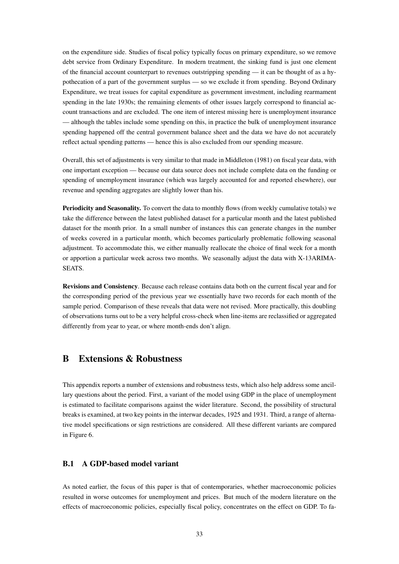on the expenditure side. Studies of fiscal policy typically focus on primary expenditure, so we remove debt service from Ordinary Expenditure. In modern treatment, the sinking fund is just one element of the financial account counterpart to revenues outstripping spending — it can be thought of as a hypothecation of a part of the government surplus — so we exclude it from spending. Beyond Ordinary Expenditure, we treat issues for capital expenditure as government investment, including rearmament spending in the late 1930s; the remaining elements of other issues largely correspond to financial account transactions and are excluded. The one item of interest missing here is unemployment insurance — although the tables include some spending on this, in practice the bulk of unemployment insurance spending happened off the central government balance sheet and the data we have do not accurately reflect actual spending patterns — hence this is also excluded from our spending measure.

Overall, this set of adjustments is very similar to that made in [Middleton](#page-31-19) [\(1981\)](#page-31-19) on fiscal year data, with one important exception — because our data source does not include complete data on the funding or spending of unemployment insurance (which was largely accounted for and reported elsewhere), our revenue and spending aggregates are slightly lower than his.

Periodicity and Seasonality. To convert the data to monthly flows (from weekly cumulative totals) we take the difference between the latest published dataset for a particular month and the latest published dataset for the month prior. In a small number of instances this can generate changes in the number of weeks covered in a particular month, which becomes particularly problematic following seasonal adjustment. To accommodate this, we either manually reallocate the choice of final week for a month or apportion a particular week across two months. We seasonally adjust the data with X-13ARIMA-SEATS.

Revisions and Consistency. Because each release contains data both on the current fiscal year and for the corresponding period of the previous year we essentially have two records for each month of the sample period. Comparison of these reveals that data were not revised. More practically, this doubling of observations turns out to be a very helpful cross-check when line-items are reclassified or aggregated differently from year to year, or where month-ends don't align.

## <span id="page-34-0"></span>B Extensions & Robustness

This appendix reports a number of extensions and robustness tests, which also help address some ancillary questions about the period. First, a variant of the model using GDP in the place of unemployment is estimated to facilitate comparisons against the wider literature. Second, the possibility of structural breaks is examined, at two key points in the interwar decades, 1925 and 1931. Third, a range of alternative model specifications or sign restrictions are considered. All these different variants are compared in Figure [6.](#page-35-0)

#### B.1 A GDP-based model variant

As noted earlier, the focus of this paper is that of contemporaries, whether macroeconomic policies resulted in worse outcomes for unemployment and prices. But much of the modern literature on the effects of macroeconomic policies, especially fiscal policy, concentrates on the effect on GDP. To fa-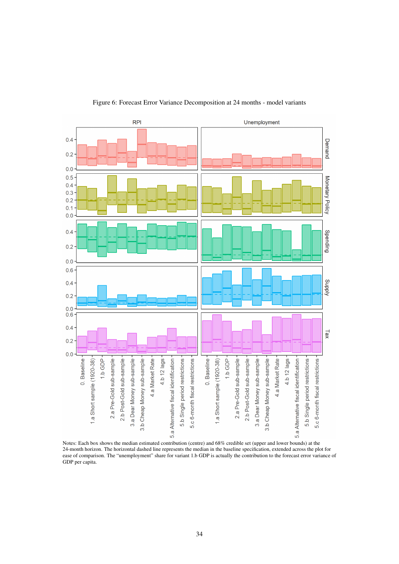<span id="page-35-0"></span>

Figure 6: Forecast Error Variance Decomposition at 24 months - model variants

Notes: Each box shows the median estimated contribution (centre) and 68% credible set (upper and lower bounds) at the 24-month horizon. The horizontal dashed line represents the median in the baseline specification, extended across the plot for ease of comparison. The "unemployment" share for variant 1.b GDP is actually the contribution to the forecast error variance of GDP per capita.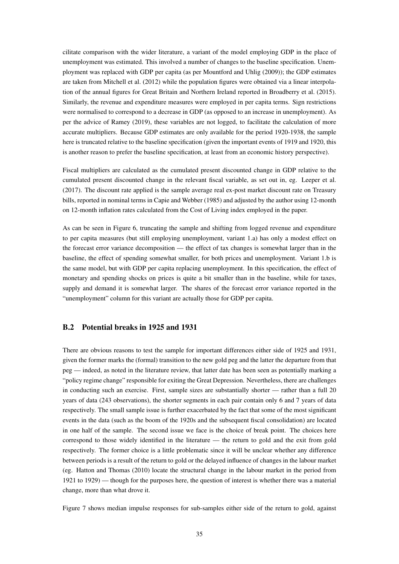cilitate comparison with the wider literature, a variant of the model employing GDP in the place of unemployment was estimated. This involved a number of changes to the baseline specification. Unemployment was replaced with GDP per capita (as per [Mountford and Uhlig](#page-32-5) [\(2009\)](#page-32-5)); the GDP estimates are taken from [Mitchell et al.](#page-31-8) [\(2012\)](#page-31-8) while the population figures were obtained via a linear interpolation of the annual figures for Great Britain and Northern Ireland reported in [Broadberry et al.](#page-29-15) [\(2015\)](#page-29-15). Similarly, the revenue and expenditure measures were employed in per capita terms. Sign restrictions were normalised to correspond to a decrease in GDP (as opposed to an increase in unemployment). As per the advice of [Ramey](#page-32-3) [\(2019\)](#page-32-3), these variables are not logged, to facilitate the calculation of more accurate multipliers. Because GDP estimates are only available for the period 1920-1938, the sample here is truncated relative to the baseline specification (given the important events of 1919 and 1920, this is another reason to prefer the baseline specification, at least from an economic history perspective).

Fiscal multipliers are calculated as the cumulated present discounted change in GDP relative to the cumulated present discounted change in the relevant fiscal variable, as set out in, eg. [Leeper et al.](#page-31-20) [\(2017\)](#page-31-20). The discount rate applied is the sample average real ex-post market discount rate on Treasury bills, reported in nominal terms in [Capie and Webber](#page-29-16) [\(1985\)](#page-29-16) and adjusted by the author using 12-month on 12-month inflation rates calculated from the Cost of Living index employed in the paper.

As can be seen in Figure [6,](#page-35-0) truncating the sample and shifting from logged revenue and expenditure to per capita measures (but still employing unemployment, variant 1.a) has only a modest effect on the forecast error variance decomposition — the effect of tax changes is somewhat larger than in the baseline, the effect of spending somewhat smaller, for both prices and unemployment. Variant 1.b is the same model, but with GDP per capita replacing unemployment. In this specification, the effect of monetary and spending shocks on prices is quite a bit smaller than in the baseline, while for taxes, supply and demand it is somewhat larger. The shares of the forecast error variance reported in the "unemployment" column for this variant are actually those for GDP per capita.

#### B.2 Potential breaks in 1925 and 1931

There are obvious reasons to test the sample for important differences either side of 1925 and 1931, given the former marks the (formal) transition to the new gold peg and the latter the departure from that peg — indeed, as noted in the literature review, that latter date has been seen as potentially marking a "policy regime change" responsible for exiting the Great Depression. Nevertheless, there are challenges in conducting such an exercise. First, sample sizes are substantially shorter — rather than a full 20 years of data (243 observations), the shorter segments in each pair contain only 6 and 7 years of data respectively. The small sample issue is further exacerbated by the fact that some of the most significant events in the data (such as the boom of the 1920s and the subsequent fiscal consolidation) are located in one half of the sample. The second issue we face is the choice of break point. The choices here correspond to those widely identified in the literature — the return to gold and the exit from gold respectively. The former choice is a little problematic since it will be unclear whether any difference between periods is a result of the return to gold or the delayed influence of changes in the labour market (eg. [Hatton and Thomas](#page-31-5) [\(2010\)](#page-31-5) locate the structural change in the labour market in the period from 1921 to 1929) — though for the purposes here, the question of interest is whether there was a material change, more than what drove it.

Figure [7](#page-37-0) shows median impulse responses for sub-samples either side of the return to gold, against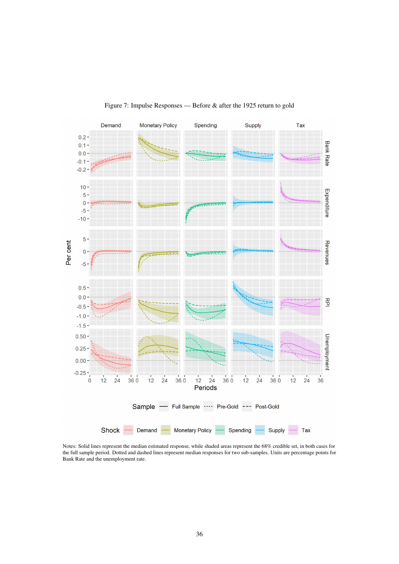<span id="page-37-0"></span>

Figure 7: Impulse Responses — Before & after the 1925 return to gold

Notes: Solid lines represent the median estimated response, while shaded areas represent the 68% credible set, in both cases for the full sample period. Dotted and dashed lines represent median responses for two sub-samples. Units are percentage points for Bank Rate and the unemployment rate.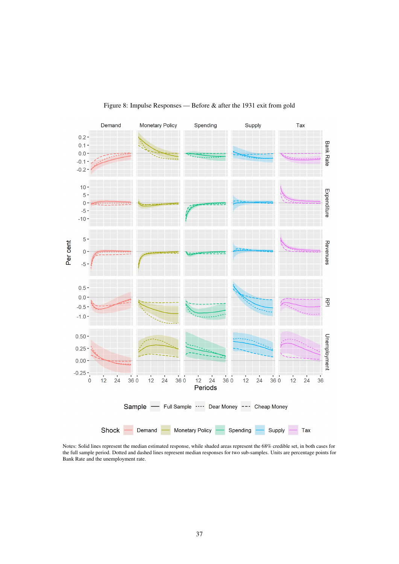<span id="page-38-0"></span>

#### Figure 8: Impulse Responses — Before & after the 1931 exit from gold

Notes: Solid lines represent the median estimated response, while shaded areas represent the 68% credible set, in both cases for the full sample period. Dotted and dashed lines represent median responses for two sub-samples. Units are percentage points for Bank Rate and the unemployment rate.